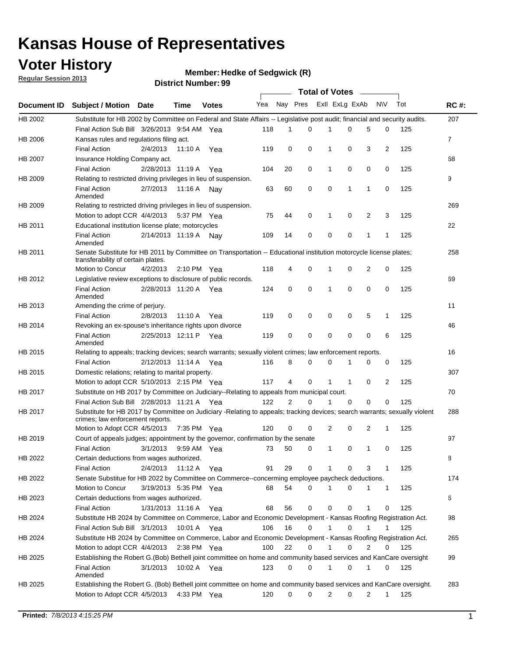## **Voter History**

**Member: Hedke of Sedgwick (R)** 

**Regular Session 2013**

|                    |                                                                                                                                                                |                       | มาจน เงเ เงนเเม <del>น</del> . <i>งง</i> |              |                             |                | <b>Total of Votes</b> |              |              |             |                |     |                |
|--------------------|----------------------------------------------------------------------------------------------------------------------------------------------------------------|-----------------------|------------------------------------------|--------------|-----------------------------|----------------|-----------------------|--------------|--------------|-------------|----------------|-----|----------------|
| <b>Document ID</b> | <b>Subject / Motion Date</b>                                                                                                                                   |                       | <b>Time</b>                              | <b>Votes</b> | Yea Nay Pres Exll ExLg ExAb |                |                       |              |              |             | N\V            | Tot | <b>RC#:</b>    |
| HB 2002            | Substitute for HB 2002 by Committee on Federal and State Affairs -- Legislative post audit; financial and security audits.                                     |                       |                                          |              |                             |                |                       |              |              |             |                |     | 207            |
|                    | Final Action Sub Bill 3/26/2013 9:54 AM Yea                                                                                                                    |                       |                                          |              | 118                         | 1              | 0                     |              | 0            | 5           | 0              | 125 |                |
| HB 2006            | Kansas rules and regulations filing act.                                                                                                                       |                       |                                          |              |                             |                |                       |              |              |             |                |     | $\overline{7}$ |
|                    | <b>Final Action</b>                                                                                                                                            | 2/4/2013              | 11:10 A                                  | Yea          | 119                         | 0              | 0                     | $\mathbf 1$  | 0            | 3           | $\overline{2}$ | 125 |                |
| HB 2007            | Insurance Holding Company act.                                                                                                                                 |                       |                                          |              |                             |                |                       |              |              |             |                |     | 68             |
|                    | <b>Final Action</b>                                                                                                                                            | 2/28/2013 11:19 A     |                                          | Yea          | 104                         | 20             | 0                     | 1            | 0            | 0           | 0              | 125 |                |
| HB 2009            | Relating to restricted driving privileges in lieu of suspension.                                                                                               |                       |                                          |              |                             |                |                       |              |              |             |                |     | 9              |
|                    | <b>Final Action</b><br>Amended                                                                                                                                 | 2/7/2013              | 11:16 A Nay                              |              | 63                          | 60             | 0                     | 0            | $\mathbf 1$  | $\mathbf 1$ | 0              | 125 |                |
| HB 2009            | Relating to restricted driving privileges in lieu of suspension.                                                                                               |                       |                                          |              |                             |                |                       |              |              |             |                |     | 269            |
|                    | Motion to adopt CCR 4/4/2013                                                                                                                                   |                       | 5:37 PM Yea                              |              | 75                          | 44             | 0                     | 1            | 0            | 2           | 3              | 125 |                |
| HB 2011            | Educational institution license plate; motorcycles                                                                                                             |                       |                                          |              |                             |                |                       |              |              |             |                |     | 22             |
|                    | <b>Final Action</b><br>Amended                                                                                                                                 | 2/14/2013 11:19 A Nay |                                          |              | 109                         | 14             | 0                     | 0            | 0            | 1           | 1              | 125 |                |
| HB 2011            | Senate Substitute for HB 2011 by Committee on Transportation -- Educational institution motorcycle license plates;                                             |                       |                                          |              |                             |                |                       |              |              |             |                |     | 258            |
|                    | transferability of certain plates.                                                                                                                             |                       |                                          |              |                             |                |                       |              |              |             |                |     |                |
|                    | Motion to Concur                                                                                                                                               | 4/2/2013              | $2:10 \text{ PM}$ Yea                    |              | 118                         | 4              | 0                     | 1            | 0            | 2           | 0              | 125 |                |
| HB 2012            | Legislative review exceptions to disclosure of public records.                                                                                                 |                       |                                          |              |                             |                |                       |              |              |             |                |     | 69             |
|                    | <b>Final Action</b><br>Amended                                                                                                                                 | 2/28/2013 11:20 A Yea |                                          |              | 124                         | 0              | 0                     | 1            | 0            | 0           | 0              | 125 |                |
| HB 2013            | Amending the crime of perjury.                                                                                                                                 |                       |                                          |              |                             |                |                       |              |              |             |                |     | 11             |
|                    | <b>Final Action</b>                                                                                                                                            | 2/8/2013              | 11:10 A                                  | Yea          | 119                         | 0              | 0                     | 0            | 0            | 5           | 1              | 125 |                |
| HB 2014            | Revoking an ex-spouse's inheritance rights upon divorce                                                                                                        |                       |                                          |              |                             |                |                       |              |              |             |                |     | 46             |
|                    | <b>Final Action</b><br>Amended                                                                                                                                 | 2/25/2013 12:11 P Yea |                                          |              | 119                         | 0              | $\mathbf 0$           | 0            | 0            | 0           | 6              | 125 |                |
| HB 2015            | Relating to appeals; tracking devices; search warrants; sexually violent crimes; law enforcement reports.                                                      |                       |                                          |              |                             |                |                       |              |              |             |                |     | 16             |
|                    | <b>Final Action</b>                                                                                                                                            | 2/12/2013 11:14 A Yea |                                          |              | 116                         | 8              | 0                     | 0            |              | 0           | 0              | 125 |                |
| HB 2015            | Domestic relations; relating to marital property.                                                                                                              |                       |                                          |              |                             |                |                       |              |              |             |                |     | 307            |
|                    | Motion to adopt CCR 5/10/2013 2:15 PM Yea                                                                                                                      |                       |                                          |              | 117                         | 4              | 0                     | $\mathbf{1}$ | $\mathbf{1}$ | 0           | 2              | 125 |                |
| HB 2017            | Substitute on HB 2017 by Committee on Judiciary--Relating to appeals from municipal court.                                                                     |                       |                                          |              |                             |                |                       |              |              |             |                |     | 70             |
|                    | Final Action Sub Bill 2/28/2013 11:21 A Yea                                                                                                                    |                       |                                          |              | 122                         | $\overline{2}$ | 0                     | 1            | $\Omega$     | 0           | 0              | 125 |                |
| HB 2017            | Substitute for HB 2017 by Committee on Judiciary -Relating to appeals; tracking devices; search warrants; sexually violent<br>crimes; law enforcement reports. |                       |                                          |              |                             |                |                       |              |              |             |                |     | 288            |
|                    | Motion to Adopt CCR 4/5/2013 7:35 PM Yea                                                                                                                       |                       |                                          |              | 120                         | 0              | 0                     | 2            | 0            | 2           | 1              | 125 |                |
| HB 2019            | Court of appeals judges; appointment by the governor, confirmation by the senate                                                                               |                       |                                          |              |                             |                |                       |              |              |             |                |     | 97             |
|                    | <b>Final Action</b>                                                                                                                                            | 3/1/2013              | 9:59 AM Yea                              |              | 73                          | 50             | 0                     | 1            | 0            | $\mathbf 1$ | 0              | 125 |                |
| HB 2022            | Certain deductions from wages authorized.                                                                                                                      |                       |                                          |              |                             |                |                       |              |              |             |                |     | В              |
|                    | <b>Final Action</b>                                                                                                                                            | 2/4/2013              | 11:12 A                                  | Yea          | 91                          | 29             | 0                     |              | 0            | 3           | 1              | 125 |                |
| HB 2022            | Senate Substitue for HB 2022 by Committee on Commerce--concerming employee paycheck deductions.                                                                |                       |                                          |              |                             |                |                       |              |              |             |                |     | 174            |
|                    | Motion to Concur                                                                                                                                               | 3/19/2013 5:35 PM Yea |                                          |              | 68                          | 54             | 0                     | 1            | 0            | 1           | 1              | 125 |                |
| HB 2023            | Certain deductions from wages authorized.                                                                                                                      |                       |                                          |              |                             |                |                       |              |              |             |                |     | 6              |
|                    | <b>Final Action</b>                                                                                                                                            | 1/31/2013 11:16 A     |                                          | Yea          | 68                          | 56             | 0                     | 0            | 0            | 1           | 0              | 125 |                |
| HB 2024            | Substitute HB 2024 by Committee on Commerce, Labor and Economic Development - Kansas Roofing Registration Act.                                                 |                       |                                          |              |                             |                |                       |              |              |             |                |     | 98             |
|                    | Final Action Sub Bill 3/1/2013                                                                                                                                 |                       | 10:01 A Yea                              |              | 106                         | 16             | 0                     | $\mathbf{1}$ | 0            | 1           | 1              | 125 |                |
| HB 2024            | Substitute HB 2024 by Committee on Commerce, Labor and Economic Development - Kansas Roofing Registration Act.                                                 |                       |                                          |              |                             |                |                       |              |              |             |                |     | 265            |
|                    | Motion to adopt CCR 4/4/2013                                                                                                                                   |                       | $2:38$ PM Yea                            |              | 100                         | 22             | 0                     | $\mathbf{1}$ | 0            | 2           | 0              | 125 |                |
|                    | Establishing the Robert G.(Bob) Bethell joint committee on home and community based services and KanCare oversight                                             |                       |                                          |              |                             |                |                       |              |              |             |                |     | 99             |
| HB 2025            |                                                                                                                                                                |                       |                                          |              |                             |                |                       |              |              |             |                |     |                |
|                    | <b>Final Action</b><br>Amended                                                                                                                                 | 3/1/2013              | 10:02 A Yea                              |              | 123                         | 0              | 0                     | $\mathbf{1}$ | 0            | $\mathbf 1$ | 0              | 125 |                |
| HB 2025            | Establishing the Robert G. (Bob) Bethell joint committee on home and community based services and KanCare oversight.                                           |                       |                                          |              |                             |                |                       |              |              |             |                |     | 283            |
|                    | Motion to Adopt CCR 4/5/2013                                                                                                                                   |                       | 4:33 PM Yea                              |              | 120                         | 0              | 0                     | 2            | 0            | 2           | 1              | 125 |                |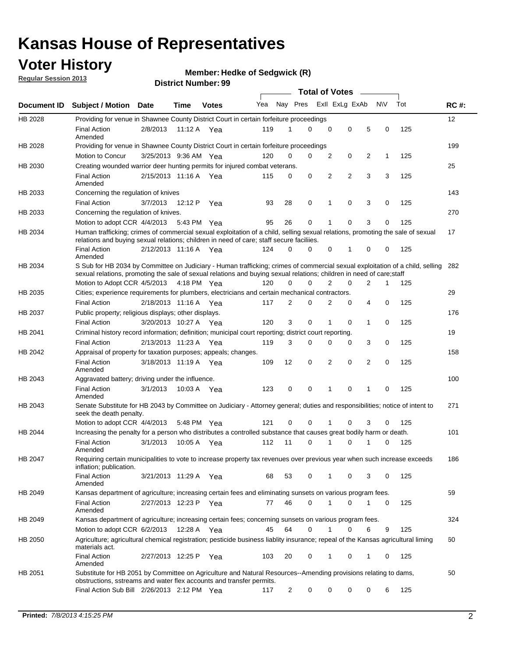## **Voter History**

**Member: Hedke of Sedgwick (R)** 

**Regular Session 2013**

|             |                                                                                                                                                                                                                                                       |                       |         |              |     |                | <b>Total of Votes</b> |             |                |                |           |     |             |
|-------------|-------------------------------------------------------------------------------------------------------------------------------------------------------------------------------------------------------------------------------------------------------|-----------------------|---------|--------------|-----|----------------|-----------------------|-------------|----------------|----------------|-----------|-----|-------------|
| Document ID | <b>Subject / Motion Date</b>                                                                                                                                                                                                                          |                       | Time    | <b>Votes</b> | Yea | Nay Pres       |                       |             | Exll ExLg ExAb |                | <b>NV</b> | Tot | <b>RC#:</b> |
| HB 2028     | Providing for venue in Shawnee County District Court in certain forfeiture proceedings                                                                                                                                                                |                       |         |              |     |                |                       |             |                |                |           |     | 12          |
|             | <b>Final Action</b><br>Amended                                                                                                                                                                                                                        | 2/8/2013              |         | 11:12 A Yea  | 119 | 1              | $\Omega$              | $\mathbf 0$ | 0              | 5              | 0         | 125 |             |
| HB 2028     | Providing for venue in Shawnee County District Court in certain forfeiture proceedings                                                                                                                                                                |                       |         |              |     |                |                       |             |                |                |           |     | 199         |
|             | Motion to Concur                                                                                                                                                                                                                                      | 3/25/2013 9:36 AM Yea |         |              | 120 | 0              | 0                     | 2           | 0              | 2              | 1         | 125 |             |
| HB 2030     | Creating wounded warrior deer hunting permits for injured combat veterans.                                                                                                                                                                            |                       |         |              |     |                |                       |             |                |                |           |     | 25          |
|             | <b>Final Action</b><br>Amended                                                                                                                                                                                                                        | 2/15/2013 11:16 A     |         | Yea          | 115 | 0              | 0                     | 2           | $\overline{2}$ | 3              | 3         | 125 |             |
| HB 2033     | Concerning the regulation of knives                                                                                                                                                                                                                   |                       |         |              |     |                |                       |             |                |                |           |     | 143         |
|             | <b>Final Action</b>                                                                                                                                                                                                                                   | 3/7/2013              | 12:12 P | Yea          | 93  | 28             | 0                     | 1           | 0              | 3              | 0         | 125 |             |
| HB 2033     | Concerning the regulation of knives.                                                                                                                                                                                                                  |                       |         |              |     |                |                       |             |                |                |           |     | 270         |
|             | Motion to adopt CCR 4/4/2013                                                                                                                                                                                                                          |                       |         | 5:43 PM Yea  | 95  | 26             | 0                     |             | 0              | 3              | 0         | 125 |             |
| HB 2034     | Human trafficking; crimes of commercial sexual exploitation of a child, selling sexual relations, promoting the sale of sexual<br>relations and buying sexual relations; children in need of care; staff secure faciliies.                            |                       |         |              |     |                |                       |             |                |                |           |     | 17          |
|             | <b>Final Action</b><br>Amended                                                                                                                                                                                                                        | 2/12/2013 11:16 A Yea |         |              | 124 | $\Omega$       | 0                     | 0           | 1              | 0              | 0         | 125 |             |
| HB 2034     | S Sub for HB 2034 by Committee on Judiciary - Human trafficking; crimes of commercial sexual exploitation of a child, selling<br>sexual relations, promoting the sale of sexual relations and buying sexual relations; children in need of care;staff |                       |         |              |     |                |                       |             |                |                |           |     | 282         |
|             | Motion to Adopt CCR 4/5/2013 4:18 PM Yea                                                                                                                                                                                                              |                       |         |              | 120 | 0              | 0                     | 2           | 0              | $\overline{2}$ | 1         | 125 |             |
| HB 2035     | Cities; experience requirements for plumbers, electricians and certain mechanical contractors.                                                                                                                                                        |                       |         |              |     |                |                       |             |                |                |           |     | 29          |
|             | <b>Final Action</b>                                                                                                                                                                                                                                   | 2/18/2013 11:16 A     |         | Yea          | 117 | 2              | 0                     | 2           | 0              | 4              | 0         | 125 |             |
| HB 2037     | Public property; religious displays; other displays.                                                                                                                                                                                                  |                       |         |              |     |                |                       |             |                |                |           |     | 176         |
|             | <b>Final Action</b>                                                                                                                                                                                                                                   | 3/20/2013 10:27 A     |         | Yea          | 120 | 3              | 0                     | 1           | 0              | 1              | 0         | 125 |             |
| HB 2041     | Criminal history record information; definition; municipal court reporting; district court reporting.                                                                                                                                                 |                       |         |              |     |                |                       |             |                |                |           |     | 19          |
|             | <b>Final Action</b>                                                                                                                                                                                                                                   | 2/13/2013 11:23 A     |         | Yea          | 119 | 3              | 0                     | 0           | 0              | 3              | 0         | 125 |             |
| HB 2042     | Appraisal of property for taxation purposes; appeals; changes.                                                                                                                                                                                        |                       |         |              |     |                |                       |             |                |                |           |     | 158         |
|             | <b>Final Action</b><br>Amended                                                                                                                                                                                                                        | 3/18/2013 11:19 A     |         | Yea          | 109 | 12             | 0                     | 2           | 0              | 2              | 0         | 125 |             |
| HB 2043     | Aggravated battery; driving under the influence.                                                                                                                                                                                                      |                       |         |              |     |                |                       |             |                |                |           |     | 100         |
|             | <b>Final Action</b><br>Amended                                                                                                                                                                                                                        | 3/1/2013              |         | 10:03 A Yea  | 123 | 0              | 0                     |             | 0              | 1              | 0         | 125 |             |
| HB 2043     | Senate Substitute for HB 2043 by Committee on Judiciary - Attorney general; duties and responsibilities; notice of intent to<br>seek the death penalty.                                                                                               |                       |         |              |     |                |                       |             |                |                |           |     | 271         |
|             | Motion to adopt CCR 4/4/2013                                                                                                                                                                                                                          |                       |         | 5:48 PM Yea  | 121 | 0              | 0                     |             | 0              | 3              | 0         | 125 |             |
| HB 2044     | Increasing the penalty for a person who distributes a controlled substance that causes great bodily harm or death.                                                                                                                                    |                       |         |              |     |                |                       |             |                |                |           |     | 101         |
|             | <b>Final Action</b><br>Amended                                                                                                                                                                                                                        | 3/1/2013              | 10:05 A | Yea          | 112 | 11             | 0                     |             | 0              |                | 0         | 125 |             |
| HB 2047     | Requiring certain municipalities to vote to increase property tax revenues over previous year when such increase exceeds<br>inflation; publication.                                                                                                   |                       |         |              |     |                |                       |             |                |                |           |     | 186         |
|             | <b>Final Action</b><br>Amended                                                                                                                                                                                                                        | 3/21/2013 11:29 A Yea |         |              | 68  | 53             | 0                     |             | 0              | 3              | 0         | 125 |             |
| HB 2049     | Kansas department of agriculture; increasing certain fees and eliminating sunsets on various program fees.                                                                                                                                            |                       |         |              |     |                |                       |             |                |                |           |     | 59          |
|             | <b>Final Action</b><br>Amended                                                                                                                                                                                                                        | 2/27/2013 12:23 P Yea |         |              | 77  | 46             | 0                     | 1           | 0              | 1              | 0         | 125 |             |
| HB 2049     | Kansas department of agriculture; increasing certain fees; concerning sunsets on various program fees.                                                                                                                                                |                       |         |              |     |                |                       |             |                |                |           |     | 324         |
|             | Motion to adopt CCR 6/2/2013                                                                                                                                                                                                                          |                       | 12:28 A | Yea          | 45  | 64             | 0                     |             | 0              | 6              | 9         | 125 |             |
| HB 2050     | Agriculture; agricultural chemical registration; pesticide business liablity insurance; repeal of the Kansas agricultural liming<br>materials act.                                                                                                    |                       |         |              |     |                |                       |             |                |                |           |     | 60          |
|             | <b>Final Action</b><br>Amended                                                                                                                                                                                                                        | 2/27/2013 12:25 P     |         | Yea          | 103 | 20             | 0                     | 1           | 0              | 1              | 0         | 125 |             |
| HB 2051     | Substitute for HB 2051 by Committee on Agriculture and Natural Resources--Amending provisions relating to dams,<br>obstructions, sstreams and water flex accounts and transfer permits.                                                               |                       |         |              |     |                |                       |             |                |                |           |     | 50          |
|             | Final Action Sub Bill 2/26/2013 2:12 PM Yea                                                                                                                                                                                                           |                       |         |              | 117 | $\overline{c}$ | 0                     | 0           | 0              | 0              | 6         | 125 |             |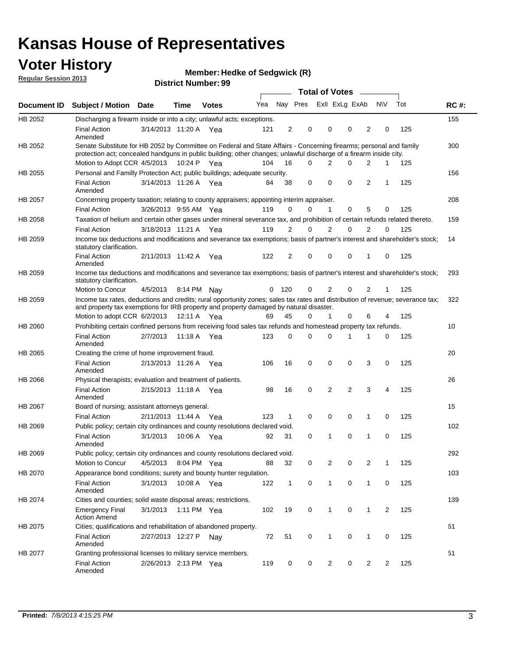## **Voter History**

**Member: Hedke of Sedgwick (R)** 

**Regular Session 2013**

|             |                                                                                                                                                                                                                                          |                       |             | טט וסמוווטנו ועוווטכו |     |                |          | <b>Total of Votes</b> | $\sim$         |                |                |     |             |
|-------------|------------------------------------------------------------------------------------------------------------------------------------------------------------------------------------------------------------------------------------------|-----------------------|-------------|-----------------------|-----|----------------|----------|-----------------------|----------------|----------------|----------------|-----|-------------|
| Document ID | <b>Subject / Motion Date</b>                                                                                                                                                                                                             |                       | <b>Time</b> | <b>Votes</b>          | Yea |                | Nay Pres | Exll ExLg ExAb        |                |                | <b>NV</b>      | Tot | <b>RC#:</b> |
| HB 2052     | Discharging a firearm inside or into a city; unlawful acts; exceptions.                                                                                                                                                                  |                       |             |                       |     |                |          |                       |                |                |                |     | 155         |
|             | <b>Final Action</b><br>Amended                                                                                                                                                                                                           | 3/14/2013 11:20 A Yea |             |                       | 121 | $\overline{2}$ | 0        | 0                     | 0              | 2              | 0              | 125 |             |
| HB 2052     | Senate Substitute for HB 2052 by Committee on Federal and State Affairs - Concerning firearms; personal and family<br>protection act; concealed handguns in public building; other changes; unlawful discharge of a firearm inside city. |                       |             |                       |     |                |          |                       |                |                |                |     | 300         |
|             | Motion to Adopt CCR 4/5/2013 10:24 P Yea                                                                                                                                                                                                 |                       |             |                       | 104 | 16             | $\Omega$ | 2                     | 0              | 2              | 1              | 125 |             |
| HB 2055     | Personal and Familly Protection Act; public buildings; adequate security.                                                                                                                                                                |                       |             |                       |     |                |          |                       |                |                |                |     | 156         |
|             | <b>Final Action</b><br>Amended                                                                                                                                                                                                           | 3/14/2013 11:26 A Yea |             |                       | 84  | 38             | 0        | 0                     | 0              | 2              | 1              | 125 |             |
| HB 2057     | Concerning property taxation; relating to county appraisers; appointing interim appraiser.                                                                                                                                               |                       |             |                       |     |                |          |                       |                |                |                |     | 208         |
|             | <b>Final Action</b>                                                                                                                                                                                                                      | 3/26/2013 9:55 AM Yea |             |                       | 119 | 0              | 0        | $\mathbf{1}$          | 0              | 5              | 0              | 125 |             |
| HB 2058     | Taxation of helium and certain other gases under mineral severance tax, and prohibition of certain refunds related thereto.                                                                                                              |                       |             |                       |     |                |          |                       |                |                |                |     | 159         |
|             | <b>Final Action</b>                                                                                                                                                                                                                      | 3/18/2013 11:21 A Yea |             |                       | 119 | 2              | 0        | $\overline{2}$        | $\Omega$       | 2              | $\Omega$       | 125 |             |
| HB 2059     | Income tax deductions and modifications and severance tax exemptions; basis of partner's interest and shareholder's stock;<br>statutory clarification.                                                                                   |                       |             |                       |     |                |          |                       |                |                |                |     | 14          |
|             | <b>Final Action</b><br>Amended                                                                                                                                                                                                           | 2/11/2013 11:42 A     |             | Yea                   | 122 | 2              | 0        | 0                     | 0              | 1              | 0              | 125 |             |
| HB 2059     | Income tax deductions and modifications and severance tax exemptions; basis of partner's interest and shareholder's stock;<br>statutory clarification.                                                                                   |                       |             |                       |     |                |          |                       |                |                |                |     | 293         |
|             | Motion to Concur                                                                                                                                                                                                                         | 4/5/2013              | 8:14 PM     | Nav                   | 0   | - 120          | 0        | 2                     | 0              | $\overline{2}$ | 1              | 125 |             |
| HB 2059     | Income tax rates, deductions and credits; rural opportunity zones; sales tax rates and distribution of revenue; severance tax;<br>and property tax exemptions for IRB property and property damaged by natural disaster.                 |                       |             |                       |     |                |          |                       |                |                |                |     | 322         |
|             | Motion to adopt CCR 6/2/2013                                                                                                                                                                                                             |                       | 12:11 A     | Yea                   | 69  | 45             | 0        | $\mathbf{1}$          | $\Omega$       | 6              | 4              | 125 |             |
| HB 2060     | Prohibiting certain confined persons from receiving food sales tax refunds and homestead property tax refunds.                                                                                                                           |                       |             |                       |     |                |          |                       |                |                |                |     | 10          |
|             | <b>Final Action</b><br>Amended                                                                                                                                                                                                           | 2/7/2013              | 11:18 A     | Yea                   | 123 | $\mathbf 0$    | 0        | $\Omega$              | 1              | 1              | 0              | 125 |             |
| HB 2065     | Creating the crime of home improvement fraud.                                                                                                                                                                                            |                       |             |                       |     |                |          |                       |                |                |                |     | 20          |
|             | <b>Final Action</b><br>Amended                                                                                                                                                                                                           | 2/13/2013 11:26 A Yea |             |                       | 106 | 16             | 0        | $\mathbf 0$           | 0              | 3              | 0              | 125 |             |
| HB 2066     | Physical therapists; evaluation and treatment of patients.                                                                                                                                                                               |                       |             |                       |     |                |          |                       |                |                |                |     | 26          |
|             | <b>Final Action</b><br>Amended                                                                                                                                                                                                           | 2/15/2013 11:18 A Yea |             |                       | 98  | 16             | 0        | 2                     | $\overline{2}$ | 3              | 4              | 125 |             |
| HB 2067     | Board of nursing; assistant attorneys general.                                                                                                                                                                                           |                       |             |                       |     |                |          |                       |                |                |                |     | 15          |
|             | <b>Final Action</b>                                                                                                                                                                                                                      | 2/11/2013 11:44 A Yea |             |                       | 123 | 1              | 0        | 0                     | 0              | 1              | 0              | 125 |             |
| HB 2069     | Public policy; certain city ordinances and county resolutions declared void.                                                                                                                                                             |                       |             |                       |     |                |          |                       |                |                |                |     | 102         |
|             | <b>Final Action</b><br>Amended                                                                                                                                                                                                           | 3/1/2013              | 10:06 A     | Yea                   | 92  | 31             | $\Omega$ | 1                     | $\Omega$       | 1              | $\mathbf 0$    | 125 |             |
| HB 2069     | Public policy; certain city ordinances and county resolutions declared void.                                                                                                                                                             |                       |             |                       |     |                |          |                       |                |                |                |     | 292         |
|             | <b>Motion to Concur</b>                                                                                                                                                                                                                  | 4/5/2013              |             | 8:04 PM Yea           | 88  | 32             | 0        | 2                     | 0              | $\overline{2}$ | 1              | 125 |             |
| HB 2070     | Appearance bond conditions; surety and bounty hunter regulation.                                                                                                                                                                         |                       |             |                       |     |                |          |                       |                |                |                |     | 103         |
|             | <b>Final Action</b><br>Amended                                                                                                                                                                                                           | 3/1/2013              |             | 10:08 A Yea           | 122 | $\mathbf{1}$   | 0        | $\mathbf{1}$          | 0              | 1              | 0              | 125 |             |
| HB 2074     | Cities and counties; solid waste disposal areas; restrictions.                                                                                                                                                                           |                       |             |                       |     |                |          |                       |                |                |                |     | 139         |
|             | <b>Emergency Final</b><br><b>Action Amend</b>                                                                                                                                                                                            | 3/1/2013              |             | 1:11 PM Yea           | 102 | 19             | 0        | 1                     | 0              | 1              | $\overline{2}$ | 125 |             |
| HB 2075     | Cities; qualifications and rehabilitation of abandoned property.                                                                                                                                                                         |                       |             |                       |     |                |          |                       |                |                |                |     | 61          |
|             | <b>Final Action</b><br>Amended                                                                                                                                                                                                           | 2/27/2013 12:27 P     |             | Nav                   | 72  | 51             | 0        | 1                     | 0              | 1              | 0              | 125 |             |
| HB 2077     | Granting professional licenses to military service members.<br><b>Final Action</b><br>Amended                                                                                                                                            | 2/26/2013 2:13 PM Yea |             |                       | 119 | 0              | 0        | $\overline{2}$        | 0              | $\overline{2}$ | 2              | 125 | 51          |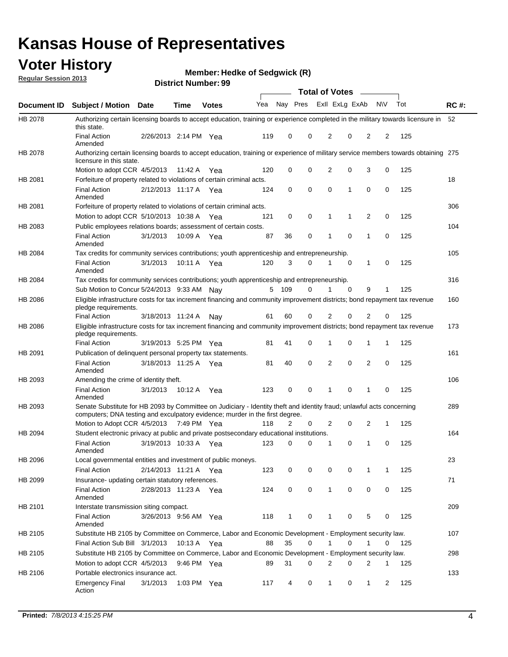## **Voter History**

**Member: Hedke of Sedgwick (R)** 

**Regular Session 2013**

|             |                                                                                                                                                                                                       |                       |             |              |     |              |             | <b>Total of Votes</b> |   | $\sim$ |           |     |             |
|-------------|-------------------------------------------------------------------------------------------------------------------------------------------------------------------------------------------------------|-----------------------|-------------|--------------|-----|--------------|-------------|-----------------------|---|--------|-----------|-----|-------------|
| Document ID | <b>Subject / Motion Date</b>                                                                                                                                                                          |                       | Time        | <b>Votes</b> | Yea | Nay Pres     |             | Exll ExLg ExAb        |   |        | <b>NV</b> | Tot | <b>RC#:</b> |
| HB 2078     | Authorizing certain licensing boards to accept education, training or experience completed in the military towards licensure in 52<br>this state.                                                     |                       |             |              |     |              |             |                       |   |        |           |     |             |
|             | <b>Final Action</b><br>Amended                                                                                                                                                                        | 2/26/2013 2:14 PM Yea |             |              | 119 | 0            | 0           | 2                     | 0 | 2      | 2         | 125 |             |
| HB 2078     | Authorizing certain licensing boards to accept education, training or experience of military service members towards obtaining 275<br>licensure in this state.                                        |                       |             |              |     |              |             |                       |   |        |           |     |             |
|             | Motion to adopt CCR 4/5/2013                                                                                                                                                                          |                       | 11:42 A     | Yea          | 120 | 0            | 0           | 2                     | 0 | 3      | 0         | 125 |             |
| HB 2081     | Forfeiture of property related to violations of certain criminal acts.                                                                                                                                |                       |             |              |     |              |             |                       |   |        |           |     | 18          |
|             | <b>Final Action</b><br>Amended                                                                                                                                                                        | 2/12/2013 11:17 A Yea |             |              | 124 | 0            | $\mathbf 0$ | 0                     | 1 | 0      | 0         | 125 |             |
| HB 2081     | Forfeiture of property related to violations of certain criminal acts.                                                                                                                                |                       |             |              |     |              |             |                       |   |        |           |     | 306         |
|             | Motion to adopt CCR 5/10/2013 10:38 A                                                                                                                                                                 |                       |             | Yea          | 121 | 0            | 0           | 1                     | 1 | 2      | 0         | 125 |             |
| HB 2083     | Public employees relations boards; assessment of certain costs.                                                                                                                                       |                       |             |              |     |              |             |                       |   |        |           |     | 104         |
|             | <b>Final Action</b><br>Amended                                                                                                                                                                        | 3/1/2013              | 10:09 A     | Yea          | 87  | 36           | 0           | 1                     | 0 | 1      | 0         | 125 |             |
| HB 2084     | Tax credits for community services contributions; youth apprenticeship and entrepreneurship.                                                                                                          |                       |             |              |     |              |             |                       |   |        |           |     | 105         |
|             | <b>Final Action</b><br>Amended                                                                                                                                                                        | 3/1/2013              | 10:11 A Yea |              | 120 | 3            | $\Omega$    | 1                     | 0 | 1      | 0         | 125 |             |
| HB 2084     | Tax credits for community services contributions; youth apprenticeship and entrepreneurship.                                                                                                          |                       |             |              |     |              |             |                       |   |        |           |     | 316         |
|             | Sub Motion to Concur 5/24/2013 9:33 AM                                                                                                                                                                |                       |             | Nav          | 5   | 109          | 0           |                       | 0 | 9      | 1         | 125 |             |
| HB 2086     | Eligible infrastructure costs for tax increment financing and community improvement districts; bond repayment tax revenue<br>pledge requirements.                                                     |                       |             |              |     |              |             |                       |   |        |           |     | 160         |
|             | Final Action                                                                                                                                                                                          | 3/18/2013 11:24 A     |             | Nav          | 61  | 60           | 0           | 2                     | 0 | 2      | 0         | 125 |             |
| HB 2086     | Eligible infrastructure costs for tax increment financing and community improvement districts; bond repayment tax revenue<br>pledge requirements.                                                     |                       |             |              |     |              |             |                       |   |        |           |     | 173         |
|             | <b>Final Action</b>                                                                                                                                                                                   | 3/19/2013 5:25 PM Yea |             |              | 81  | 41           | 0           | 1                     | 0 | 1      | 1         | 125 |             |
| HB 2091     | Publication of delinquent personal property tax statements.                                                                                                                                           |                       |             |              |     |              |             |                       |   |        |           |     | 161         |
|             | <b>Final Action</b><br>Amended                                                                                                                                                                        | 3/18/2013 11:25 A Yea |             |              | 81  | 40           | 0           | 2                     | 0 | 2      | 0         | 125 |             |
| HB 2093     | Amending the crime of identity theft.                                                                                                                                                                 |                       |             |              |     |              |             |                       |   |        |           |     | 106         |
|             | <b>Final Action</b><br>Amended                                                                                                                                                                        | 3/1/2013              | 10:12 A     | Yea          | 123 | 0            | 0           | 1                     | 0 | 1      | 0         | 125 |             |
| HB 2093     | Senate Substitute for HB 2093 by Committee on Judiciary - Identity theft and identity fraud; unlawful acts concerning<br>computers; DNA testing and exculpatory evidence; murder in the first degree. |                       |             |              |     |              |             |                       |   |        |           |     | 289         |
|             | Motion to Adopt CCR 4/5/2013 7:49 PM Yea                                                                                                                                                              |                       |             |              | 118 | 2            | 0           | 2                     | 0 | 2      | 1         | 125 |             |
| HB 2094     | Student electronic privacy at public and private postsecondary educational institutions.                                                                                                              |                       |             |              |     |              |             |                       |   |        |           |     | 164         |
|             | <b>Final Action</b><br>Amended                                                                                                                                                                        | 3/19/2013 10:33 A Yea |             |              | 123 | 0            | 0           |                       | 0 | 1      | 0         | 125 |             |
| HB 2096     | Local governmental entities and investment of public moneys.                                                                                                                                          |                       |             |              |     |              |             |                       |   |        |           |     | 23          |
|             | Final Action                                                                                                                                                                                          | 2/14/2013 11:21 A Yea |             |              | 123 | 0            | 0           | 0                     | 0 |        | 1         | 125 |             |
| HB 2099     | Insurance- updating certain statutory references.                                                                                                                                                     |                       |             |              |     |              |             |                       |   |        |           |     | 71          |
|             | <b>Final Action</b><br>Amended                                                                                                                                                                        | 2/28/2013 11:23 A Yea |             |              | 124 | 0            | 0           | $\mathbf{1}$          | 0 | 0      | 0         | 125 |             |
| HB 2101     | Interstate transmission siting compact.                                                                                                                                                               |                       |             |              |     |              |             |                       |   |        |           |     | 209         |
|             | Final Action<br>Amended                                                                                                                                                                               | 3/26/2013 9:56 AM Yea |             |              | 118 | $\mathbf{1}$ | 0           | 1                     | 0 | 5      | 0         | 125 |             |
| HB 2105     | Substitute HB 2105 by Committee on Commerce, Labor and Economic Development - Employment security law.                                                                                                |                       |             |              |     |              |             |                       |   |        |           |     | 107         |
|             | Final Action Sub Bill 3/1/2013                                                                                                                                                                        |                       |             | 10:13 A Yea  | 88  | 35           | 0           | 1                     | 0 | 1      | 0         | 125 |             |
| HB 2105     | Substitute HB 2105 by Committee on Commerce, Labor and Economic Development - Employment security law.                                                                                                |                       |             |              |     |              |             |                       |   |        |           |     | 298         |
|             | Motion to adopt CCR 4/5/2013                                                                                                                                                                          |                       |             | 9:46 PM Yea  | 89  | 31           | 0           | 2                     | 0 | 2      | 1         | 125 |             |
| HB 2106     | Portable electronics insurance act.                                                                                                                                                                   |                       |             |              |     |              |             |                       |   |        |           |     | 133         |
|             | Emergency Final<br>Action                                                                                                                                                                             | 3/1/2013              |             | 1:03 PM Yea  | 117 | 4            | 0           | 1                     | 0 | 1      | 2         | 125 |             |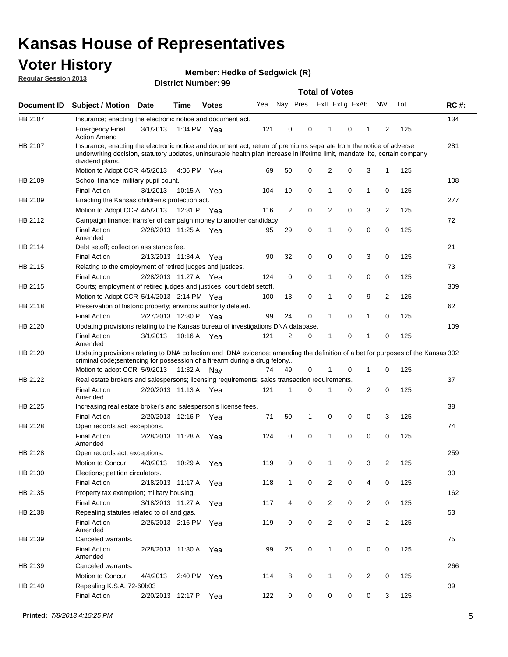## **Voter History**

**Member: Hedke of Sedgwick (R)** 

**Regular Session 2013**

|             |                                                                                                                                                                                                                                                                      |                       |             | มงแเงเ เงนแมงต ออ |     |                |             | <b>Total of Votes</b> |   | $\sim$         |                |     |             |
|-------------|----------------------------------------------------------------------------------------------------------------------------------------------------------------------------------------------------------------------------------------------------------------------|-----------------------|-------------|-------------------|-----|----------------|-------------|-----------------------|---|----------------|----------------|-----|-------------|
| Document ID | <b>Subject / Motion Date</b>                                                                                                                                                                                                                                         |                       | <b>Time</b> | <b>Votes</b>      | Yea | Nay Pres       |             | Exll ExLg ExAb        |   |                | <b>NV</b>      | Tot | <b>RC#:</b> |
| HB 2107     | Insurance; enacting the electronic notice and document act.                                                                                                                                                                                                          |                       |             |                   |     |                |             |                       |   |                |                |     | 134         |
|             | <b>Emergency Final</b><br><b>Action Amend</b>                                                                                                                                                                                                                        | 3/1/2013              | 1:04 PM Yea |                   | 121 | 0              | 0           | 1                     | 0 | 1              | 2              | 125 |             |
| HB 2107     | Insurance; enacting the electronic notice and document act, return of premiums separate from the notice of adverse<br>underwriting decision, statutory updates, uninsurable health plan increase in lifetime limit, mandate lite, certain company<br>dividend plans. |                       |             |                   |     |                |             |                       |   |                |                |     | 281         |
|             | Motion to Adopt CCR 4/5/2013                                                                                                                                                                                                                                         |                       | 4:06 PM Yea |                   | 69  | 50             | 0           | 2                     | 0 | 3              | $\mathbf{1}$   | 125 |             |
| HB 2109     | School finance; military pupil count.                                                                                                                                                                                                                                |                       |             |                   |     |                |             |                       |   |                |                |     | 108         |
|             | <b>Final Action</b>                                                                                                                                                                                                                                                  | 3/1/2013              | 10:15A      | Yea               | 104 | 19             | 0           | 1                     | 0 | 1              | 0              | 125 |             |
| HB 2109     | Enacting the Kansas children's protection act.                                                                                                                                                                                                                       |                       |             |                   |     |                |             |                       |   |                |                |     | 277         |
|             | Motion to Adopt CCR 4/5/2013                                                                                                                                                                                                                                         |                       | 12:31 P Yea |                   | 116 | $\overline{2}$ | 0           | 2                     | 0 | 3              | $\overline{2}$ | 125 |             |
| HB 2112     | Campaign finance; transfer of campaign money to another candidacy.                                                                                                                                                                                                   |                       |             |                   |     |                |             |                       |   |                |                |     | 72          |
|             | <b>Final Action</b><br>Amended                                                                                                                                                                                                                                       | 2/28/2013 11:25 A Yea |             |                   | 95  | 29             | 0           | 1                     | 0 | 0              | 0              | 125 |             |
| HB 2114     | Debt setoff; collection assistance fee.                                                                                                                                                                                                                              |                       |             |                   |     |                |             |                       |   |                |                |     | 21          |
|             | <b>Final Action</b>                                                                                                                                                                                                                                                  | 2/13/2013 11:34 A     |             | Yea               | 90  | 32             | 0           | 0                     | 0 | 3              | 0              | 125 |             |
| HB 2115     | Relating to the employment of retired judges and justices.                                                                                                                                                                                                           |                       |             |                   |     |                |             |                       |   |                |                |     | 73          |
|             | <b>Final Action</b>                                                                                                                                                                                                                                                  | 2/28/2013 11:27 A     |             | Yea               | 124 | 0              | $\mathbf 0$ | 1                     | 0 | 0              | 0              | 125 |             |
| HB 2115     | Courts; employment of retired judges and justices; court debt setoff.                                                                                                                                                                                                |                       |             |                   |     |                |             |                       |   |                |                |     | 309         |
|             | Motion to Adopt CCR 5/14/2013 2:14 PM Yea                                                                                                                                                                                                                            |                       |             |                   | 100 | 13             | 0           | 1                     | 0 | 9              | $\overline{2}$ | 125 |             |
| HB 2118     | Preservation of historic property; environs authority deleted.                                                                                                                                                                                                       |                       |             |                   |     |                |             |                       |   |                |                |     | 62          |
|             | <b>Final Action</b>                                                                                                                                                                                                                                                  | 2/27/2013 12:30 P     |             | Yea               | 99  | 24             | 0           | 1                     | 0 | 1              | 0              | 125 |             |
| HB 2120     | Updating provisions relating to the Kansas bureau of investigations DNA database.                                                                                                                                                                                    |                       |             |                   |     |                |             |                       |   |                |                |     | 109         |
|             | <b>Final Action</b><br>Amended                                                                                                                                                                                                                                       | 3/1/2013              | 10:16 A     | Yea               | 121 | 2              | 0           | 1                     | 0 | 1              | 0              | 125 |             |
| HB 2120     | Updating provisions relating to DNA collection and DNA evidence; amending the definition of a bet for purposes of the Kansas 302<br>criminal code; sentencing for possession of a firearm during a drug felony<br>Motion to adopt CCR 5/9/2013 11:32 A Nay           |                       |             |                   | 74  | 49             | 0           |                       | 0 | 1              | 0              | 125 |             |
| HB 2122     | Real estate brokers and salespersons; licensing requirements; sales transaction requirements.                                                                                                                                                                        |                       |             |                   |     |                |             |                       |   |                |                |     | 37          |
|             | <b>Final Action</b><br>Amended                                                                                                                                                                                                                                       | 2/20/2013 11:13 A Yea |             |                   | 121 | 1              | $\Omega$    |                       | 0 | 2              | 0              | 125 |             |
| HB 2125     | Increasing real estate broker's and salesperson's license fees.                                                                                                                                                                                                      |                       |             |                   |     |                |             |                       |   |                |                |     | 38          |
|             | <b>Final Action</b>                                                                                                                                                                                                                                                  | 2/20/2013 12:16 P     |             | Yea               | 71  | 50             | 1           | 0                     | 0 | 0              | 3              | 125 |             |
| HB 2128     | Open records act; exceptions.                                                                                                                                                                                                                                        |                       |             |                   |     |                |             |                       |   |                |                |     | 74          |
|             | <b>Final Action</b><br>Amended                                                                                                                                                                                                                                       | 2/28/2013 11:28 A     |             | Yea               | 124 | 0              | 0           | 1                     | 0 | 0              | 0              | 125 |             |
| HB 2128     | Open records act; exceptions.                                                                                                                                                                                                                                        |                       |             |                   |     |                |             |                       |   |                |                |     | 259         |
|             | Motion to Concur                                                                                                                                                                                                                                                     | 4/3/2013              | 10:29 A     | Yea               | 119 | 0              | 0           | 1                     | 0 | 3              | $\overline{2}$ | 125 |             |
| HB 2130     | Elections; petition circulators.                                                                                                                                                                                                                                     |                       |             |                   |     |                |             |                       |   |                |                |     | 30          |
|             | <b>Final Action</b>                                                                                                                                                                                                                                                  | 2/18/2013 11:17 A     |             | Yea               | 118 | $\mathbf{1}$   | 0           | $\overline{c}$        | 0 | 4              | 0              | 125 |             |
| HB 2135     | Property tax exemption; military housing.                                                                                                                                                                                                                            |                       |             |                   |     |                |             |                       |   |                |                |     | 162         |
|             | <b>Final Action</b>                                                                                                                                                                                                                                                  | 3/18/2013 11:27 A     |             | Yea               | 117 | 4              | 0           | $\overline{c}$        | 0 | $\overline{2}$ | 0              | 125 |             |
| HB 2138     | Repealing statutes related to oil and gas.                                                                                                                                                                                                                           |                       |             |                   |     |                |             |                       |   |                |                |     | 53          |
|             | <b>Final Action</b><br>Amended                                                                                                                                                                                                                                       | 2/26/2013 2:16 PM Yea |             |                   | 119 | 0              | 0           | 2                     | 0 | $\overline{2}$ | $\overline{2}$ | 125 |             |
| HB 2139     | Canceled warrants.                                                                                                                                                                                                                                                   |                       |             |                   |     |                |             |                       |   |                |                |     | 75          |
|             | <b>Final Action</b><br>Amended                                                                                                                                                                                                                                       | 2/28/2013 11:30 A     |             | Yea               | 99  | 25             | 0           | 1                     | 0 | 0              | 0              | 125 |             |
| HB 2139     | Canceled warrants.                                                                                                                                                                                                                                                   |                       |             |                   |     |                |             |                       |   |                |                |     | 266         |
|             | Motion to Concur                                                                                                                                                                                                                                                     | 4/4/2013              | 2:40 PM     | Yea               | 114 | 8              | 0           | 1                     | 0 | 2              | 0              | 125 |             |
| HB 2140     | Repealing K.S.A. 72-60b03                                                                                                                                                                                                                                            |                       |             |                   |     |                |             |                       |   |                |                |     | 39          |
|             | <b>Final Action</b>                                                                                                                                                                                                                                                  | 2/20/2013 12:17 P     |             | Yea               | 122 | 0              | 0           | 0                     | 0 | 0              | 3              | 125 |             |
|             |                                                                                                                                                                                                                                                                      |                       |             |                   |     |                |             |                       |   |                |                |     |             |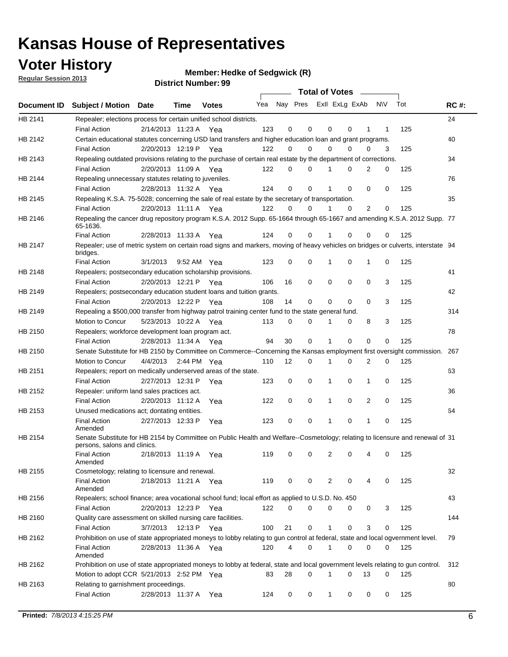## **Voter History**

**Member: Hedke of Sedgwick (R)** 

**Regular Session 2013**

|                    |                                                                                                                                              |          |                       |              |     |    | <b>Total of Votes</b>   |             |          | $\sim 100$     |     |     |             |
|--------------------|----------------------------------------------------------------------------------------------------------------------------------------------|----------|-----------------------|--------------|-----|----|-------------------------|-------------|----------|----------------|-----|-----|-------------|
| <b>Document ID</b> | <b>Subject / Motion Date</b>                                                                                                                 |          | Time                  | <b>Votes</b> | Yea |    | Nay Pres ExII ExLg ExAb |             |          |                | N\V | Tot | <b>RC#:</b> |
| HB 2141            | Repealer; elections process for certain unified school districts.                                                                            |          |                       |              |     |    |                         |             |          |                |     |     | 24          |
|                    | <b>Final Action</b>                                                                                                                          |          | 2/14/2013 11:23 A     | Yea          | 123 | 0  | 0                       | 0           | 0        | 1              | 1   | 125 |             |
| HB 2142            | Certain educational statutes concerning USD land transfers and higher education loan and grant programs.                                     |          |                       |              |     |    |                         |             |          |                |     |     | 40          |
|                    | <b>Final Action</b>                                                                                                                          |          | 2/20/2013 12:19 P Yea |              | 122 | 0  | 0                       | 0           | $\Omega$ | 0              | 3   | 125 |             |
| HB 2143            | Repealing outdated provisions relating to the purchase of certain real estate by the department of corrections.                              |          |                       |              |     |    |                         |             |          |                |     |     | 34          |
|                    | <b>Final Action</b>                                                                                                                          |          | 2/20/2013 11:09 A Yea |              | 122 | 0  | 0                       | 1           | 0        | $\overline{2}$ | 0   | 125 |             |
| HB 2144            | Repealing unnecessary statutes relating to juveniles.                                                                                        |          |                       |              |     |    |                         |             |          |                |     |     | 76          |
|                    | <b>Final Action</b>                                                                                                                          |          | 2/28/2013 11:32 A Yea |              | 124 | 0  | 0                       | 1           | 0        | 0              | 0   | 125 |             |
| HB 2145            | Repealing K.S.A. 75-5028; concerning the sale of real estate by the secretary of transportation.                                             |          |                       |              |     |    |                         |             |          |                |     |     | 35          |
|                    | <b>Final Action</b>                                                                                                                          |          | 2/20/2013 11:11 A Yea |              | 122 | 0  | 0                       | 1           | 0        | 2              | 0   | 125 |             |
| HB 2146            | Repealing the cancer drug repository program K.S.A. 2012 Supp. 65-1664 through 65-1667 and amending K.S.A. 2012 Supp. 77<br>65-1636.         |          |                       |              |     |    |                         |             |          |                |     |     |             |
|                    | <b>Final Action</b>                                                                                                                          |          | 2/28/2013 11:33 A     | Yea          | 124 | 0  | 0                       | 1           | $\Omega$ | 0              | 0   | 125 |             |
| HB 2147            | Repealer; use of metric system on certain road signs and markers, moving of heavy vehicles on bridges or culverts, interstate 94<br>bridges. |          |                       |              |     |    |                         |             |          |                |     |     |             |
|                    | <b>Final Action</b>                                                                                                                          | 3/1/2013 |                       | 9:52 AM Yea  | 123 | 0  | 0                       |             | 0        | 1              | 0   | 125 |             |
| HB 2148            | Repealers; postsecondary education scholarship provisions.                                                                                   |          |                       |              |     |    |                         |             |          |                |     |     | 41          |
|                    | <b>Final Action</b>                                                                                                                          |          | 2/20/2013 12:21 P     | Yea          | 106 | 16 | $\mathbf 0$             | 0           | 0        | $\mathbf 0$    | 3   | 125 |             |
| HB 2149            | Repealers; postsecondary education student loans and tuition grants.                                                                         |          |                       |              |     |    |                         |             |          |                |     |     | 42          |
|                    | <b>Final Action</b>                                                                                                                          |          | 2/20/2013 12:22 P     | Yea          | 108 | 14 | 0                       | 0           | $\Omega$ | $\Omega$       | 3   | 125 |             |
| HB 2149            | Repealing a \$500,000 transfer from highway patrol training center fund to the state general fund.                                           |          |                       |              |     |    |                         |             |          |                |     |     | 314         |
|                    | Motion to Concur                                                                                                                             |          | 5/23/2013 10:22 A Yea |              | 113 | 0  | 0                       |             | 0        | 8              | 3   | 125 |             |
| HB 2150            | Repealers; workforce development loan program act.                                                                                           |          |                       |              |     |    |                         |             |          |                |     |     | 78          |
|                    | <b>Final Action</b>                                                                                                                          |          | 2/28/2013 11:34 A Yea |              | 94  | 30 | $\mathbf 0$             | 1           | 0        | 0              | 0   | 125 |             |
| HB 2150            | Senate Substitute for HB 2150 by Committee on Commerce--Concerning the Kansas employment first oversight commission.                         |          |                       |              |     |    |                         |             |          |                |     |     | 267         |
|                    | Motion to Concur                                                                                                                             |          | 4/4/2013 2:44 PM Yea  |              | 110 | 12 | 0                       | 1           | 0        | 2              | 0   | 125 |             |
| HB 2151            | Repealers; report on medically underserved areas of the state.                                                                               |          |                       |              |     |    |                         |             |          |                |     |     | 63          |
|                    | <b>Final Action</b>                                                                                                                          |          | 2/27/2013 12:31 P     | Yea          | 123 | 0  | $\mathbf 0$             | 1           | 0        | 1              | 0   | 125 |             |
| HB 2152            | Repealer: uniform land sales practices act.                                                                                                  |          |                       |              |     |    |                         |             |          |                |     |     | 36          |
|                    | <b>Final Action</b>                                                                                                                          |          | 2/20/2013 11:12 A     | Yea          | 122 | 0  | $\mathbf 0$             | 1           | 0        | 2              | 0   | 125 |             |
| HB 2153            | Unused medications act; dontating entities.                                                                                                  |          |                       |              |     |    |                         |             |          |                |     |     | 64          |
|                    | <b>Final Action</b><br>Amended                                                                                                               |          | 2/27/2013 12:33 P     | Yea          | 123 | 0  | 0                       | 1           | 0        | 1              | 0   | 125 |             |
| HB 2154            | Senate Substitute for HB 2154 by Committee on Public Health and Welfare--Cosmetology; relating to licensure and renewal of 31                |          |                       |              |     |    |                         |             |          |                |     |     |             |
|                    | persons, salons and clinics.                                                                                                                 |          |                       |              |     |    |                         |             |          |                |     |     |             |
|                    | <b>Final Action</b><br>Amended                                                                                                               |          | 2/18/2013 11:19 A     | Yea          | 119 | 0  | 0                       | 2           | 0        | 4              | 0   | 125 |             |
| HB 2155            | Cosmetology; relating to licensure and renewal.                                                                                              |          |                       |              |     |    |                         |             |          |                |     |     | 32          |
|                    | <b>Final Action</b>                                                                                                                          |          | 2/18/2013 11:21 A Yea |              | 119 | 0  | 0                       | 2           | 0        |                | 0   | 125 |             |
| HB 2156            | Amended<br>Repealers; school finance; area vocational school fund; local effort as applied to U.S.D. No. 450                                 |          |                       |              |     |    |                         |             |          |                |     |     | 43          |
|                    | <b>Final Action</b>                                                                                                                          |          | 2/20/2013 12:23 P     |              | 122 | 0  | 0                       | 0           | 0        | 0              | 3   | 125 |             |
| HB 2160            | Quality care assessment on skilled nursing care facilities.                                                                                  |          |                       | Yea          |     |    |                         |             |          |                |     |     | 144         |
|                    |                                                                                                                                              | 3/7/2013 | 12:13 P               |              | 100 | 21 | 0                       | 1           | 0        | 3              | 0   | 125 |             |
|                    | <b>Final Action</b>                                                                                                                          |          |                       | Yea          |     |    |                         |             |          |                |     |     |             |
| HB 2162            | Prohibition on use of state appropriated moneys to lobby relating to gun control at federal, state and local ogvernment level.               |          |                       |              |     |    |                         |             |          |                |     |     | 79          |
|                    | <b>Final Action</b><br>Amended                                                                                                               |          | 2/28/2013 11:36 A Yea |              | 120 | 4  | 0                       | $\mathbf 1$ | 0        | 0              | 0   | 125 |             |
| HB 2162            | Prohibition on use of state appropriated moneys to lobby at federal, state and local government levels relating to gun control.              |          |                       |              |     |    |                         |             |          |                |     |     | 312         |
|                    | Motion to adopt CCR 5/21/2013 2:52 PM Yea                                                                                                    |          |                       |              | 83  | 28 | 0                       |             | 0        | 13             | 0   | 125 |             |
| HB 2163            | Relating to garnishment proceedings.                                                                                                         |          |                       |              |     |    |                         |             |          |                |     |     | 80          |
|                    | <b>Final Action</b>                                                                                                                          |          | 2/28/2013 11:37 A Yea |              | 124 | 0  | 0                       | 1           | 0        | 0              | 0   | 125 |             |
|                    |                                                                                                                                              |          |                       |              |     |    |                         |             |          |                |     |     |             |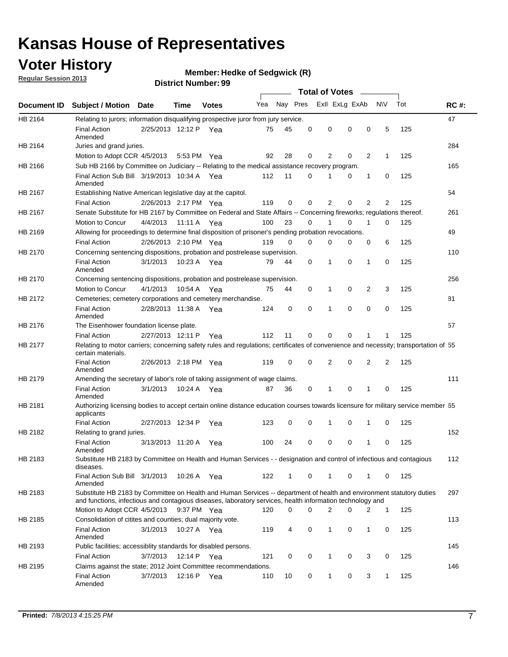## **Voter History**

**Member: Hedke of Sedgwick (R)** 

**Regular Session 2013**

|                |                                                                                                                                                                                                                                    |                       |             |              |     |          |          | <b>Total of Votes</b> |   |   |              |     |             |
|----------------|------------------------------------------------------------------------------------------------------------------------------------------------------------------------------------------------------------------------------------|-----------------------|-------------|--------------|-----|----------|----------|-----------------------|---|---|--------------|-----|-------------|
| Document ID    | Subject / Motion Date                                                                                                                                                                                                              |                       | Time        | <b>Votes</b> | Yea | Nay Pres |          | Exll ExLg ExAb        |   |   | <b>NV</b>    | Tot | <b>RC#:</b> |
| HB 2164        | Relating to jurors; information disqualifying prospective juror from jury service.                                                                                                                                                 |                       |             |              |     |          |          |                       |   |   |              |     | 47          |
|                | <b>Final Action</b>                                                                                                                                                                                                                | 2/25/2013 12:12 P Yea |             |              | 75  | 45       | 0        | 0                     | 0 | 0 | 5            | 125 |             |
| HB 2164        | Amended<br>Juries and grand juries.                                                                                                                                                                                                |                       |             |              |     |          |          |                       |   |   |              |     | 284         |
|                |                                                                                                                                                                                                                                    |                       |             |              |     | 28       | 0        |                       | 0 | 2 | $\mathbf{1}$ | 125 |             |
|                | Motion to Adopt CCR 4/5/2013                                                                                                                                                                                                       |                       |             | 5:53 PM Yea  | 92  |          |          | 2                     |   |   |              |     |             |
| HB 2166        | Sub HB 2166 by Committee on Judiciary -- Relating to the medical assistance recovery program.                                                                                                                                      |                       |             |              |     |          |          |                       |   |   |              |     | 165         |
|                | Final Action Sub Bill 3/19/2013 10:34 A Yea<br>Amended                                                                                                                                                                             |                       |             |              | 112 | 11       | 0        |                       | 0 | 1 | 0            | 125 |             |
| HB 2167        | Establishing Native American legislative day at the capitol.                                                                                                                                                                       |                       |             |              |     |          |          |                       |   |   |              |     | 54          |
|                | <b>Final Action</b>                                                                                                                                                                                                                | 2/26/2013 2:17 PM Yea |             |              | 119 | 0        | 0        | 2                     | 0 | 2 | 2            | 125 |             |
| HB 2167        | Senate Substitute for HB 2167 by Committee on Federal and State Affairs -- Concerning fireworks; regulations thereof.                                                                                                              |                       |             |              |     |          |          |                       |   |   |              |     | 261         |
|                | Motion to Concur                                                                                                                                                                                                                   | 4/4/2013 11:11 A Yea  |             |              | 100 | 23       | $\Omega$ |                       | 0 | 1 | $\Omega$     | 125 |             |
| HB 2169        | Allowing for proceedings to determine final disposition of prisoner's pending probation revocations.                                                                                                                               |                       |             |              |     |          |          |                       |   |   |              |     | 49          |
|                | <b>Final Action</b>                                                                                                                                                                                                                | 2/26/2013 2:10 PM Yea |             |              | 119 | $\Omega$ | $\Omega$ | $\Omega$              | 0 | 0 | 6            | 125 |             |
| HB 2170        | Concerning sentencing dispositions, probation and postrelease supervision.                                                                                                                                                         |                       |             |              |     |          |          |                       |   |   |              |     | 110         |
|                | <b>Final Action</b><br>Amended                                                                                                                                                                                                     | 3/1/2013              |             | 10:23 A Yea  | 79  | 44       | 0        | 1                     | 0 | 1 | 0            | 125 |             |
| <b>HB 2170</b> | Concerning sentencing dispositions, probation and postrelease supervision.                                                                                                                                                         |                       |             |              |     |          |          |                       |   |   |              |     | 256         |
|                | Motion to Concur                                                                                                                                                                                                                   | 4/1/2013              | 10:54 A     | Yea          | 75  | 44       | 0        | 1                     | 0 | 2 | 3            | 125 |             |
| HB 2172        | Cemeteries; cemetery corporations and cemetery merchandise.                                                                                                                                                                        |                       |             |              |     |          |          |                       |   |   |              |     | 81          |
|                | <b>Final Action</b><br>Amended                                                                                                                                                                                                     | 2/28/2013 11:38 A     |             | Yea          | 124 | 0        | 0        | 1                     | 0 | 0 | 0            | 125 |             |
| HB 2176        | The Eisenhower foundation license plate.                                                                                                                                                                                           |                       |             |              |     |          |          |                       |   |   |              |     | 57          |
|                | <b>Final Action</b>                                                                                                                                                                                                                | 2/27/2013 12:11 P     |             | Yea          | 112 | 11       | 0        | 0                     | 0 |   |              | 125 |             |
| HB 2177        | Relating to motor carriers; concerning safety rules and regulations; certificates of convenience and necessity; transportation of 55<br>certain materials.                                                                         |                       |             |              |     |          |          |                       |   |   |              |     |             |
|                | <b>Final Action</b><br>Amended                                                                                                                                                                                                     | 2/26/2013 2:18 PM Yea |             |              | 119 | 0        | 0        | 2                     | 0 | 2 | 2            | 125 |             |
| HB 2179        | Amending the secretary of labor's role of taking assignment of wage claims.                                                                                                                                                        |                       |             |              |     |          |          |                       |   |   |              |     | 111         |
|                | <b>Final Action</b><br>Amended                                                                                                                                                                                                     | 3/1/2013              |             | 10:24 A Yea  | 87  | 36       | 0        | 1                     | 0 | 1 | 0            | 125 |             |
| HB 2181        | Authorizing licensing bodies to accept certain online distance education courses towards licensure for military service member 55<br>applicants                                                                                    |                       |             |              |     |          |          |                       |   |   |              |     |             |
|                | <b>Final Action</b>                                                                                                                                                                                                                | 2/27/2013 12:34 P     |             | Yea          | 123 | 0        | 0        | 1                     | 0 | 1 | 0            | 125 |             |
| HB 2182        | Relating to grand juries.                                                                                                                                                                                                          |                       |             |              |     |          |          |                       |   |   |              |     | 152         |
|                | <b>Final Action</b><br>Amended                                                                                                                                                                                                     | 3/13/2013 11:20 A     |             | Yea          | 100 | 24       | 0        | 0                     | 0 | 1 | 0            | 125 |             |
| HB 2183        | Substitute HB 2183 by Committee on Health and Human Services - - designation and control of infectious and contagious<br>diseases.                                                                                                 |                       |             |              |     |          |          |                       |   |   |              |     | 112         |
|                | Final Action Sub Bill 3/1/2013<br>Amended                                                                                                                                                                                          |                       |             | 10:26 A Yea  | 122 | 1        | 0        | $\mathbf{1}$          | 0 | 1 | 0            | 125 |             |
| HB 2183        | Substitute HB 2183 by Committee on Health and Human Services -- department of health and environment statutory duties<br>and functions, infectious and contagious diseases, laboratory services, health information technology and |                       |             |              |     |          |          |                       |   |   |              |     | 297         |
|                | Motion to Adopt CCR 4/5/2013                                                                                                                                                                                                       |                       |             | 9:37 PM Yea  | 120 | 0        | $\Omega$ | 2                     | 0 | 2 | $\mathbf{1}$ | 125 |             |
| HB 2185        | Consolidation of citites and counties; dual majority vote.                                                                                                                                                                         |                       |             |              |     |          |          |                       |   |   |              |     | 113         |
|                | <b>Final Action</b><br>Amended                                                                                                                                                                                                     | 3/1/2013              |             | 10:27 A Yea  | 119 | 4        | 0        | 1                     | 0 | 1 | 0            | 125 |             |
| HB 2193        | Public facilities; accessiblity standards for disabled persons.                                                                                                                                                                    |                       |             |              |     |          |          |                       |   |   |              |     | 145         |
|                | <b>Final Action</b>                                                                                                                                                                                                                | 3/7/2013              | 12:14 P Yea |              | 121 | 0        | 0        | 1                     | 0 | 3 | 0            | 125 |             |
| HB 2195        | Claims against the state; 2012 Joint Committee recommendations.                                                                                                                                                                    |                       |             |              |     |          |          |                       |   |   |              |     | 146         |
|                | <b>Final Action</b><br>Amended                                                                                                                                                                                                     | 3/7/2013              | 12:16 P Yea |              | 110 | 10       | 0        | $\mathbf{1}$          | 0 | 3 | $\mathbf{1}$ | 125 |             |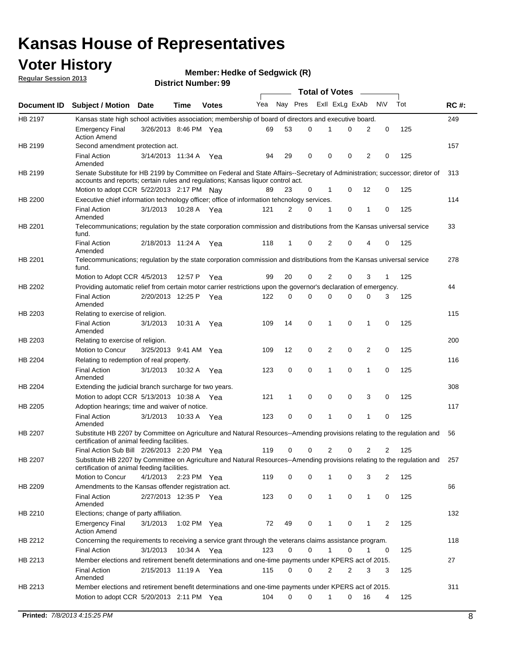## **Voter History**

**Member: Hedke of Sedgwick (R)** 

**Regular Session 2013**

|                |                                                                                                                                                                             |                       |             |              |     |             |   | <b>Total of Votes</b> |   |                |              |     |             |
|----------------|-----------------------------------------------------------------------------------------------------------------------------------------------------------------------------|-----------------------|-------------|--------------|-----|-------------|---|-----------------------|---|----------------|--------------|-----|-------------|
| Document ID    | <b>Subject / Motion Date</b>                                                                                                                                                |                       | Time        | <b>Votes</b> | Yea | Nay Pres    |   | Exll ExLg ExAb        |   |                | <b>NV</b>    | Tot | <b>RC#:</b> |
| HB 2197        | Kansas state high school activities association; membership of board of directors and executive board.                                                                      |                       |             |              |     |             |   |                       |   |                |              |     | 249         |
|                | <b>Emergency Final</b><br><b>Action Amend</b>                                                                                                                               | 3/26/2013 8:46 PM Yea |             |              | 69  | 53          | 0 |                       | 0 | 2              | 0            | 125 |             |
| HB 2199        | Second amendment protection act.                                                                                                                                            |                       |             |              |     |             |   |                       |   |                |              |     | 157         |
|                | <b>Final Action</b><br>Amended                                                                                                                                              | 3/14/2013 11:34 A     |             | Yea          | 94  | 29          | 0 | 0                     | 0 | 2              | 0            | 125 |             |
| HB 2199        | Senate Substitute for HB 2199 by Committee on Federal and State Affairs--Secretary of Administration; successor; diretor of                                                 |                       |             |              |     |             |   |                       |   |                |              |     | 313         |
|                | accounts and reports; certain rules and regulations; Kansas liquor control act.                                                                                             |                       |             |              |     |             |   |                       |   |                |              |     |             |
|                | Motion to adopt CCR 5/22/2013 2:17 PM Nav                                                                                                                                   |                       |             |              | 89  | 23          | 0 | 1                     | 0 | 12             | 0            | 125 |             |
| HB 2200        | Executive chief information technology officer; office of information tehcnology services.                                                                                  |                       |             |              |     |             |   |                       |   |                |              |     | 114         |
|                | <b>Final Action</b><br>Amended                                                                                                                                              | 3/1/2013              | 10:28 A     | Yea          | 121 | 2           | 0 | 1                     | 0 | 1              | 0            | 125 |             |
| HB 2201        | Telecommunications; regulation by the state corporation commission and distributions from the Kansas universal service<br>fund.                                             |                       |             |              |     |             |   |                       |   |                |              |     | 33          |
|                | <b>Final Action</b><br>Amended                                                                                                                                              | 2/18/2013 11:24 A     |             | Yea          | 118 | 1           | 0 | 2                     | 0 | 4              | 0            | 125 |             |
| HB 2201        | Telecommunications; regulation by the state corporation commission and distributions from the Kansas universal service<br>fund.                                             |                       |             |              |     |             |   |                       |   |                |              |     | 278         |
|                | Motion to Adopt CCR 4/5/2013                                                                                                                                                |                       | 12:57 P     | Yea          | 99  | 20          | 0 | 2                     | 0 | 3              | $\mathbf{1}$ | 125 |             |
| HB 2202        | Providing automatic relief from certain motor carrier restrictions upon the governor's declaration of emergency.                                                            |                       |             |              |     |             |   |                       |   |                |              |     | 44          |
|                | <b>Final Action</b><br>Amended                                                                                                                                              | 2/20/2013 12:25 P     |             | Yea          | 122 | 0           | 0 | 0                     | 0 | 0              | 3            | 125 |             |
| HB 2203        | Relating to exercise of religion.                                                                                                                                           |                       |             |              |     |             |   |                       |   |                |              |     | 115         |
|                | <b>Final Action</b><br>Amended                                                                                                                                              | 3/1/2013              | 10:31 A     | Yea          | 109 | 14          | 0 | 1                     | 0 | 1              | 0            | 125 |             |
| HB 2203        | Relating to exercise of religion.                                                                                                                                           |                       |             |              |     |             |   |                       |   |                |              |     | 200         |
|                | Motion to Concur                                                                                                                                                            | 3/25/2013 9:41 AM     |             | Yea          | 109 | 12          | 0 | 2                     | 0 | 2              | 0            | 125 |             |
| HB 2204        | Relating to redemption of real property.                                                                                                                                    |                       |             |              |     |             |   |                       |   |                |              |     | 116         |
|                | <b>Final Action</b><br>Amended                                                                                                                                              | 3/1/2013              | 10:32 A     | Yea          | 123 | $\mathbf 0$ | 0 | 1                     | 0 | 1              | 0            | 125 |             |
| HB 2204        | Extending the judicial branch surcharge for two years.                                                                                                                      |                       |             |              |     |             |   |                       |   |                |              |     | 308         |
|                | Motion to adopt CCR 5/13/2013 10:38 A Yea                                                                                                                                   |                       |             |              | 121 | 1           | 0 | 0                     | 0 | 3              | 0            | 125 |             |
| HB 2205        | Adoption hearings; time and waiver of notice.                                                                                                                               |                       |             |              |     |             |   |                       |   |                |              |     | 117         |
|                | <b>Final Action</b><br>Amended                                                                                                                                              | 3/1/2013              | 10:33 A Yea |              | 123 | 0           | 0 | 1                     | 0 | 1              | 0            | 125 |             |
| HB 2207        | Substitute HB 2207 by Committee on Agriculture and Natural Resources--Amending provisions relating to the regulation and<br>certification of animal feeding facilities.     |                       |             |              |     |             |   |                       |   |                |              |     | 56          |
|                | Final Action Sub Bill 2/26/2013 2:20 PM Yea                                                                                                                                 |                       |             |              | 119 | 0           | 0 | 2                     | 0 | $\overline{2}$ | 2            | 125 |             |
| <b>HB 2207</b> | Substitute HB 2207 by Committee on Agriculture and Natural Resources--Amending provisions relating to the regulation and 257<br>certification of animal feeding facilities. |                       |             |              |     |             |   |                       |   |                |              |     |             |
|                | Motion to Concur                                                                                                                                                            | 4/1/2013              | 2:23 PM Yea |              | 119 | 0           | 0 | 1                     | 0 | 3              | 2            | 125 |             |
| HB 2209        | Amendments to the Kansas offender registration act.                                                                                                                         |                       |             |              |     |             |   |                       |   |                |              |     | 66          |
|                | <b>Final Action</b><br>Amended                                                                                                                                              | 2/27/2013 12:35 P Yea |             |              | 123 | 0           | 0 | $\mathbf{1}$          | 0 | $\mathbf{1}$   | 0            | 125 |             |
| HB 2210        | Elections; change of party affiliation.                                                                                                                                     |                       |             |              |     |             |   |                       |   |                |              |     | 132         |
|                | <b>Emergency Final</b><br><b>Action Amend</b>                                                                                                                               | 3/1/2013              | 1:02 PM Yea |              | 72  | 49          | 0 |                       | 0 | 1              | 2            | 125 |             |
| HB 2212        | Concerning the requirements to receiving a service grant through the veterans claims assistance program.                                                                    |                       |             |              |     |             |   |                       |   |                |              |     | 118         |
|                | <b>Final Action</b>                                                                                                                                                         | 3/1/2013              | 10:34 A Yea |              | 123 | 0           | 0 | $\mathbf{1}$          | 0 | 1              | 0            | 125 |             |
| HB 2213        | Member elections and retirement benefit determinations and one-time payments under KPERS act of 2015.                                                                       |                       |             |              |     |             |   |                       |   |                |              |     | 27          |
|                | <b>Final Action</b><br>Amended                                                                                                                                              | 2/15/2013 11:19 A Yea |             |              | 115 | 0           | 0 | 2                     | 2 | 3              | 3            | 125 |             |
| HB 2213        | Member elections and retirement benefit determinations and one-time payments under KPERS act of 2015.                                                                       |                       |             |              |     |             |   |                       |   |                |              |     | 311         |
|                | Motion to adopt CCR 5/20/2013 2:11 PM Yea                                                                                                                                   |                       |             |              | 104 | $\Omega$    | 0 | 1                     | 0 | 16             | 4            | 125 |             |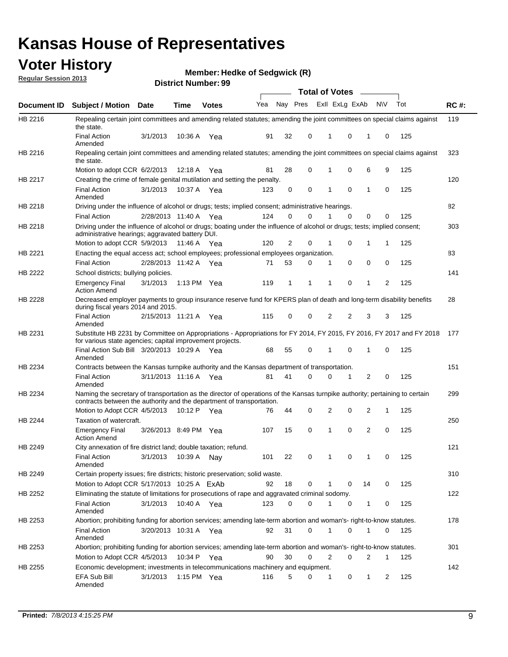## **Voter History**

**Member: Hedke of Sedgwick (R)** 

**Regular Session 2013**

|             |                                                                                                                                                                                                               |                       |         |              |     |                |          | <b>Total of Votes</b> |             |    |           |     |             |
|-------------|---------------------------------------------------------------------------------------------------------------------------------------------------------------------------------------------------------------|-----------------------|---------|--------------|-----|----------------|----------|-----------------------|-------------|----|-----------|-----|-------------|
| Document ID | <b>Subject / Motion Date</b>                                                                                                                                                                                  |                       | Time    | <b>Votes</b> | Yea |                | Nay Pres | Exll ExLg ExAb        |             |    | <b>NV</b> | Tot | <b>RC#:</b> |
| HB 2216     | Repealing certain joint committees and amending related statutes; amending the joint committees on special claims against<br>the state.                                                                       |                       |         |              |     |                |          |                       |             |    |           |     | 119         |
|             | <b>Final Action</b><br>Amended                                                                                                                                                                                | 3/1/2013              | 10:36 A | Yea          | 91  | 32             | 0        | 1                     | 0           | 1  | 0         | 125 |             |
| HB 2216     | Repealing certain joint committees and amending related statutes; amending the joint committees on special claims against<br>the state.                                                                       |                       |         |              |     |                |          |                       |             |    |           |     | 323         |
|             | Motion to adopt CCR 6/2/2013                                                                                                                                                                                  |                       | 12:18 A | Yea          | 81  | 28             | 0        | 1                     | 0           | 6  | 9         | 125 |             |
| HB 2217     | Creating the crime of female genital mutilation and setting the penalty.                                                                                                                                      |                       |         |              |     |                |          |                       |             |    |           |     | 120         |
|             | <b>Final Action</b><br>Amended                                                                                                                                                                                | 3/1/2013              | 10:37 A | Yea          | 123 | 0              | 0        | 1                     | $\mathbf 0$ | 1  | 0         | 125 |             |
| HB 2218     | Driving under the influence of alcohol or drugs; tests; implied consent; administrative hearings.                                                                                                             |                       |         |              |     |                |          |                       |             |    |           |     | 82          |
|             | <b>Final Action</b>                                                                                                                                                                                           | 2/28/2013 11:40 A Yea |         |              | 124 | 0              | 0        |                       | $\Omega$    | 0  | 0         | 125 |             |
| HB 2218     | Driving under the influence of alcohol or drugs; boating under the influence of alcohol or drugs; tests; implied consent;<br>administrative hearings; aggravated battery DUI.<br>Motion to adopt CCR 5/9/2013 |                       | 11:46 A | Yea          | 120 | $\overline{2}$ | 0        | 1                     | 0           | 1  | 1         | 125 | 303         |
| HB 2221     | Enacting the equal access act; school employees; professional employees organization.                                                                                                                         |                       |         |              |     |                |          |                       |             |    |           |     | 83          |
|             | <b>Final Action</b>                                                                                                                                                                                           | 2/28/2013 11:42 A Yea |         |              | 71  | 53             | 0        | 1                     | 0           | 0  | 0         | 125 |             |
| HB 2222     | School districts; bullying policies.                                                                                                                                                                          |                       |         |              |     |                |          |                       |             |    |           |     | 141         |
|             | <b>Emergency Final</b><br><b>Action Amend</b>                                                                                                                                                                 | 3/1/2013              |         | 1:13 PM Yea  | 119 | $\mathbf 1$    | 1        | 1                     | 0           | 1  | 2         | 125 |             |
| HB 2228     | Decreased employer payments to group insurance reserve fund for KPERS plan of death and long-term disability benefits<br>during fiscal years 2014 and 2015.                                                   |                       |         |              |     |                |          |                       |             |    |           |     | 28          |
|             | <b>Final Action</b><br>Amended                                                                                                                                                                                | 2/15/2013 11:21 A Yea |         |              | 115 | 0              | 0        | 2                     | 2           | 3  | 3         | 125 |             |
| HB 2231     | Substitute HB 2231 by Committee on Appropriations - Appropriations for FY 2014, FY 2015, FY 2016, FY 2017 and FY 2018<br>for various state agencies; capital improvement projects.                            |                       |         |              |     |                |          |                       |             |    |           |     | 177         |
|             | Final Action Sub Bill 3/20/2013 10:29 A<br>Amended                                                                                                                                                            |                       |         | Yea          | 68  | 55             | 0        | 1                     | 0           | 1  | 0         | 125 |             |
| HB 2234     | Contracts between the Kansas turnpike authority and the Kansas department of transportation.                                                                                                                  |                       |         |              |     |                |          |                       |             |    |           |     | 151         |
|             | <b>Final Action</b><br>Amended                                                                                                                                                                                | 3/11/2013 11:16 A     |         | Yea          | 81  | 41             | $\Omega$ | 0                     | 1           | 2  | 0         | 125 |             |
| HB 2234     | Naming the secretary of transportation as the director of operations of the Kansas turnpike authority; pertaining to certain<br>contracts between the authority and the department of transportation.         |                       |         |              |     |                |          |                       |             |    |           |     | 299         |
|             | Motion to Adopt CCR 4/5/2013                                                                                                                                                                                  |                       | 10:12 P | Yea          | 76  | 44             | 0        | 2                     | 0           | 2  | 1         | 125 |             |
| HB 2244     | Taxation of watercraft.<br><b>Emergency Final</b>                                                                                                                                                             | 3/26/2013 8:49 PM Yea |         |              | 107 | 15             | 0        | 1                     | 0           | 2  | 0         | 125 | 250         |
|             | <b>Action Amend</b>                                                                                                                                                                                           |                       |         |              |     |                |          |                       |             |    |           |     |             |
| HB 2249     | City annexation of fire district land; double taxation; refund.                                                                                                                                               |                       |         |              |     |                |          |                       |             |    |           |     | 121         |
|             | <b>Final Action</b><br>Amended                                                                                                                                                                                | 3/1/2013              | 10:39 A | Nay          | 101 | 22             | 0        | 1                     | 0           | 1  | 0         | 125 |             |
| HB 2249     | Certain property issues; fire districts; historic preservation; solid waste.                                                                                                                                  |                       |         |              |     |                |          |                       |             |    |           |     | 310         |
|             | Motion to Adopt CCR 5/17/2013 10:25 A ExAb                                                                                                                                                                    |                       |         |              | 92  | 18             | 0        | 1                     | $\Omega$    | 14 | 0         | 125 |             |
| HB 2252     | Eliminating the statute of limitations for prosecutions of rape and aggravated criminal sodomy.                                                                                                               |                       |         |              |     |                |          |                       |             |    |           |     | 122         |
|             | <b>Final Action</b><br>Amended                                                                                                                                                                                | 3/1/2013              |         | 10:40 A Yea  | 123 | 0              | 0        | 1                     | 0           | 1  | 0         | 125 |             |
| HB 2253     | Abortion; prohibiting funding for abortion services; amending late-term abortion and woman's- right-to-know statutes.                                                                                         |                       |         |              |     |                |          |                       |             |    |           |     | 178         |
|             | <b>Final Action</b><br>Amended                                                                                                                                                                                | 3/20/2013 10:31 A Yea |         |              | 92  | 31             | 0        | 1                     | 0           | 1  | 0         | 125 |             |
| HB 2253     | Abortion; prohibiting funding for abortion services; amending late-term abortion and woman's- right-to-know statutes.                                                                                         |                       |         |              |     |                |          |                       |             |    |           |     | 301         |
|             | Motion to Adopt CCR 4/5/2013                                                                                                                                                                                  |                       |         | 10:34 P Yea  | 90  | 30             | 0        | $\overline{2}$        | 0           | 2  |           | 125 |             |
| HB 2255     | Economic development; investments in telecommunications machinery and equipment.                                                                                                                              |                       |         |              |     |                |          |                       |             |    |           |     | 142         |
|             | EFA Sub Bill<br>Amended                                                                                                                                                                                       | 3/1/2013              |         | 1:15 PM Yea  | 116 | 5              | 0        | 1                     | 0           | 1  | 2         | 125 |             |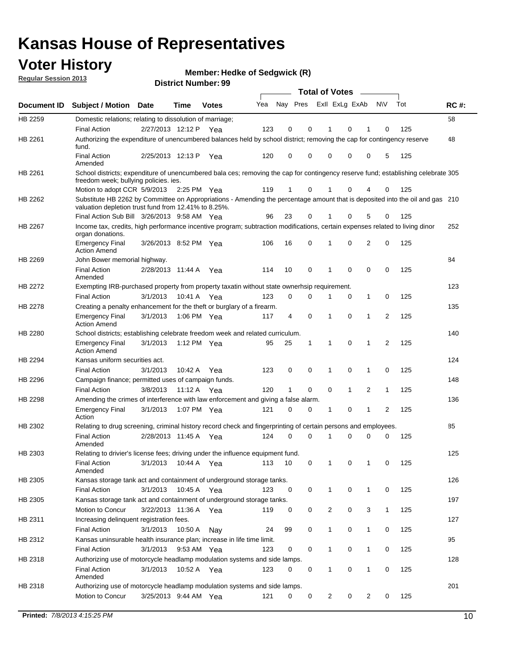## **Voter History**

**Member: Hedke of Sedgwick (R)** 

**Regular Session 2013**

|                    |                                                                                                                                                                                       |                       | טט . וסעוווµט וענוש |              |     |                         |             | <b>Total of Votes</b> |              | $\sim$         |              |     |             |
|--------------------|---------------------------------------------------------------------------------------------------------------------------------------------------------------------------------------|-----------------------|---------------------|--------------|-----|-------------------------|-------------|-----------------------|--------------|----------------|--------------|-----|-------------|
| <b>Document ID</b> | <b>Subject / Motion</b>                                                                                                                                                               | Date                  | Time                | <b>Votes</b> | Yea | Nay Pres Exll ExLg ExAb |             |                       |              |                | N\V          | Tot | <b>RC#:</b> |
| HB 2259            | Domestic relations; relating to dissolution of marriage;                                                                                                                              |                       |                     |              |     |                         |             |                       |              |                |              |     | 58          |
|                    | <b>Final Action</b>                                                                                                                                                                   | 2/27/2013 12:12 P     |                     | Yea          | 123 | 0                       | 0           | 1                     | 0            | 1              | $\Omega$     | 125 |             |
| HB 2261            | Authorizing the expenditure of unencumbered balances held by school district; removing the cap for contingency reserve<br>fund.                                                       |                       |                     |              |     |                         |             |                       |              |                |              |     | 48          |
|                    | <b>Final Action</b><br>Amended                                                                                                                                                        | 2/25/2013 12:13 P     |                     | Yea          | 120 | 0                       | 0           | 0                     | 0            | 0              | 5            | 125 |             |
| HB 2261            | School districts; expenditure of unencumbered bala ces; removing the cap for contingency reserve fund; establishing celebrate 305<br>freedom week; bullying policies. ies.            |                       |                     |              |     |                         |             |                       |              |                |              |     |             |
|                    | Motion to adopt CCR 5/9/2013                                                                                                                                                          |                       | 2:25 PM Yea         |              | 119 | 1                       | 0           |                       | 0            | 4              | 0            | 125 |             |
| HB 2262            | Substitute HB 2262 by Committee on Appropriations - Amending the percentage amount that is deposited into the oil and gas 210<br>valuation depletion trust fund from 12.41% to 8.25%. |                       |                     |              |     |                         |             |                       |              |                |              |     |             |
|                    | Final Action Sub Bill 3/26/2013 9:58 AM Yea                                                                                                                                           |                       |                     |              | 96  | 23                      | 0           |                       | 0            | 5              | 0            | 125 |             |
| HB 2267            | Income tax, credits, high performance incentive program; subtraction modifications, certain expenses related to living dinor<br>organ donations.                                      |                       |                     |              |     |                         |             |                       |              |                |              |     | 252         |
|                    | <b>Emergency Final</b><br><b>Action Amend</b>                                                                                                                                         | 3/26/2013 8:52 PM Yea |                     |              | 106 | 16                      | 0           | 1                     | 0            | 2              | 0            | 125 |             |
| HB 2269            | John Bower memorial highway.                                                                                                                                                          |                       |                     |              |     |                         |             |                       |              |                |              |     | 84          |
|                    | <b>Final Action</b><br>Amended                                                                                                                                                        | 2/28/2013 11:44 A Yea |                     |              | 114 | 10                      | 0           | 1                     | 0            | 0              | 0            | 125 |             |
| HB 2272            | Exempting IRB-purchased property from property taxatin without state ownerhsip requirement.                                                                                           |                       |                     |              |     |                         |             |                       |              |                |              |     | 123         |
|                    | <b>Final Action</b>                                                                                                                                                                   | 3/1/2013              | 10:41 A Yea         |              | 123 | 0                       | 0           | 1                     | 0            | $\mathbf{1}$   | 0            | 125 |             |
| HB 2278            | Creating a penalty enhancement for the theft or burglary of a firearm.                                                                                                                |                       |                     |              |     |                         |             |                       |              |                |              |     | 135         |
|                    | <b>Emergency Final</b><br><b>Action Amend</b>                                                                                                                                         | 3/1/2013              | 1:06 PM Yea         |              | 117 | 4                       | $\mathbf 0$ | $\mathbf 1$           | $\Omega$     | 1              | 2            | 125 |             |
| HB 2280            | School districts; establishing celebrate freedom week and related curriculum.                                                                                                         |                       |                     |              |     |                         |             |                       |              |                |              |     | 140         |
|                    | <b>Emergency Final</b><br><b>Action Amend</b>                                                                                                                                         | 3/1/2013              | 1:12 PM Yea         |              | 95  | 25                      | 1           | 1                     | 0            | 1              | 2            | 125 |             |
| HB 2294            | Kansas uniform securities act.                                                                                                                                                        |                       |                     |              |     |                         |             |                       |              |                |              |     | 124         |
|                    | <b>Final Action</b>                                                                                                                                                                   | 3/1/2013              | 10:42 A Yea         |              | 123 | 0                       | 0           | 1                     | $\mathbf 0$  | $\mathbf{1}$   | 0            | 125 |             |
| HB 2296            | Campaign finance; permitted uses of campaign funds.                                                                                                                                   |                       |                     |              |     |                         |             |                       |              |                |              |     | 148         |
|                    | <b>Final Action</b>                                                                                                                                                                   | 3/8/2013              | 11:12 A Yea         |              | 120 | $\mathbf{1}$            | 0           | 0                     | $\mathbf{1}$ | $\overline{2}$ | $\mathbf{1}$ | 125 |             |
| HB 2298            | Amending the crimes of interference with law enforcement and giving a false alarm.                                                                                                    |                       |                     |              |     |                         |             |                       |              |                |              |     | 136         |
|                    | <b>Emergency Final</b><br>Action                                                                                                                                                      | 3/1/2013              | 1:07 PM Yea         |              | 121 | 0                       | 0           | 1                     | 0            | $\mathbf{1}$   | 2            | 125 |             |
| HB 2302            | Relating to drug screening, criminal history record check and fingerprinting of certain persons and employees.                                                                        |                       |                     |              |     |                         |             |                       |              |                |              |     | 85          |
|                    | <b>Final Action</b><br>Amended                                                                                                                                                        | 2/28/2013 11:45 A Yea |                     |              | 124 | 0                       | $\Omega$    | 1                     | 0            | 0              | $\mathbf 0$  | 125 |             |
| HB 2303            | Relating to drivier's license fees; driving under the influence equipment fund.                                                                                                       |                       |                     |              |     |                         |             |                       |              |                |              |     | 125         |
|                    | <b>Final Action</b><br>Amended                                                                                                                                                        | 3/1/2013              | 10:44 A             | Yea          | 113 | 10                      | 0           | 1                     | 0            | 1              | 0            | 125 |             |
| HB 2305            | Kansas storage tank act and containment of underground storage tanks.                                                                                                                 |                       |                     |              |     |                         |             |                       |              |                |              |     | 126         |
|                    | <b>Final Action</b>                                                                                                                                                                   | 3/1/2013              | 10:45 A             | Yea          | 123 | 0                       | 0           | 1                     | 0            | $\mathbf{1}$   | 0            | 125 |             |
| HB 2305            | Kansas storage tank act and containment of underground storage tanks.                                                                                                                 |                       |                     |              |     |                         |             |                       |              |                |              |     | 197         |
|                    | Motion to Concur                                                                                                                                                                      | 3/22/2013 11:36 A     |                     | Yea          | 119 | 0                       | 0           | 2                     | 0            | 3              | $\mathbf{1}$ | 125 |             |
| HB 2311            | Increasing delinquent registration fees.                                                                                                                                              |                       |                     |              |     |                         |             |                       |              |                |              |     | 127         |
|                    | <b>Final Action</b>                                                                                                                                                                   | 3/1/2013              | 10:50 A             | Nay          | 24  | 99                      | 0           | $\mathbf{1}$          | 0            | $\mathbf{1}$   | 0            | 125 |             |
| HB 2312            | Kansas uninsurable health insurance plan; increase in life time limit.<br><b>Final Action</b>                                                                                         | 3/1/2013              | 9:53 AM Yea         |              | 123 | 0                       | 0           | 1                     | 0            | 1              | 0            | 125 | 95          |
| HB 2318            | Authorizing use of motorcycle headlamp modulation systems and side lamps.                                                                                                             |                       |                     |              |     |                         |             |                       |              |                |              |     | 128         |
|                    | <b>Final Action</b><br>Amended                                                                                                                                                        | 3/1/2013              | 10:52 A Yea         |              | 123 | 0                       | 0           | 1                     | 0            | $\mathbf{1}$   | 0            | 125 |             |
| HB 2318            | Authorizing use of motorcycle headlamp modulation systems and side lamps.                                                                                                             |                       |                     |              |     |                         |             |                       |              |                |              |     | 201         |
|                    | Motion to Concur                                                                                                                                                                      | 3/25/2013 9:44 AM Yea |                     |              | 121 | 0                       | 0           | 2                     | 0            | 2              | 0            | 125 |             |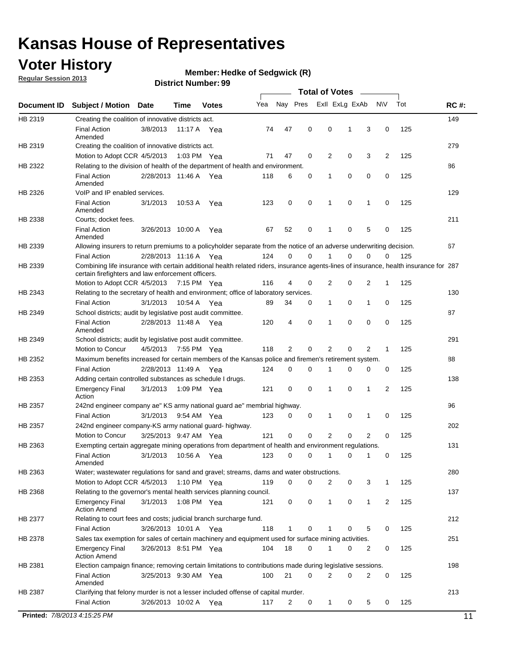## **Voter History**

**Member: Hedke of Sedgwick (R)** 

**Regular Session 2013**

#### **District Number: 99**

|             |                                                                                                                                                                                             |                       |             |              |     |             |   | <b>Total of Votes</b> |             |                |              |     |             |
|-------------|---------------------------------------------------------------------------------------------------------------------------------------------------------------------------------------------|-----------------------|-------------|--------------|-----|-------------|---|-----------------------|-------------|----------------|--------------|-----|-------------|
| Document ID | <b>Subject / Motion</b>                                                                                                                                                                     | <b>Date</b>           | Time        | <b>Votes</b> | Yea | Nay Pres    |   | Exll ExLg ExAb        |             |                | <b>NV</b>    | Tot | <b>RC#:</b> |
| HB 2319     | Creating the coalition of innovative districts act.                                                                                                                                         |                       |             |              |     |             |   |                       |             |                |              |     | 149         |
|             | <b>Final Action</b><br>Amended                                                                                                                                                              | 3/8/2013              |             | 11:17 A Yea  | 74  | 47          | 0 | 0                     | 1           | 3              | 0            | 125 |             |
| HB 2319     | Creating the coalition of innovative districts act.                                                                                                                                         |                       |             |              |     |             |   |                       |             |                |              |     | 279         |
|             | Motion to Adopt CCR 4/5/2013                                                                                                                                                                |                       |             | 1:03 PM Yea  | 71  | 47          | 0 | 2                     | 0           | 3              | 2            | 125 |             |
| HB 2322     | Relating to the division of health of the department of health and environment.                                                                                                             |                       |             |              |     |             |   |                       |             |                |              |     | 86          |
|             | <b>Final Action</b><br>Amended                                                                                                                                                              | 2/28/2013 11:46 A Yea |             |              | 118 | 6           | 0 | 1                     | 0           | 0              | 0            | 125 |             |
| HB 2326     | VoIP and IP enabled services.                                                                                                                                                               |                       |             |              |     |             |   |                       |             |                |              |     | 129         |
|             | <b>Final Action</b><br>Amended                                                                                                                                                              | 3/1/2013              | 10:53 A     | Yea          | 123 | 0           | 0 | 1                     | $\mathbf 0$ | 1              | 0            | 125 |             |
| HB 2338     | Courts; docket fees.                                                                                                                                                                        |                       |             |              |     |             |   |                       |             |                |              |     | 211         |
|             | <b>Final Action</b><br>Amended                                                                                                                                                              | 3/26/2013 10:00 A     |             | Yea          | 67  | 52          | 0 | 1                     | 0           | 5              | 0            | 125 |             |
| HB 2339     | Allowing insurers to return premiums to a policyholder separate from the notice of an adverse underwriting decision.                                                                        |                       |             |              |     |             |   |                       |             |                |              |     | 67          |
|             | <b>Final Action</b>                                                                                                                                                                         | 2/28/2013 11:16 A Yea |             |              | 124 | 0           | 0 | 1                     | 0           | 0              | 0            | 125 |             |
| HB 2339     | Combining life insurance with certain additional health related riders, insurance agents-lines of insurance, health insurance for 287<br>certain firefighters and law enforcement officers. |                       |             |              |     |             |   |                       |             |                |              |     |             |
|             | Motion to Adopt CCR 4/5/2013 7:15 PM Yea                                                                                                                                                    |                       |             |              | 116 | 4           | 0 | 2                     | 0           | 2              | 1            | 125 |             |
| HB 2343     | Relating to the secretary of health and environment; office of laboratory services.                                                                                                         |                       |             |              |     |             |   |                       |             |                |              |     | 130         |
|             | <b>Final Action</b>                                                                                                                                                                         | 3/1/2013              | 10:54 A Yea |              | 89  | 34          | 0 | 1                     | 0           | 1              | 0            | 125 |             |
| HB 2349     | School districts; audit by legislative post audit committee.                                                                                                                                |                       |             |              |     |             |   |                       |             |                |              |     | 87          |
|             | <b>Final Action</b><br>Amended                                                                                                                                                              | 2/28/2013 11:48 A Yea |             |              | 120 | 4           | 0 | 1                     | 0           | 0              | $\mathbf 0$  | 125 |             |
| HB 2349     | School districts; audit by legislative post audit committee.                                                                                                                                |                       |             |              |     |             |   |                       |             |                |              |     | 291         |
|             | Motion to Concur                                                                                                                                                                            | 4/5/2013              | 7:55 PM Yea |              | 118 | 2           | 0 | 2                     | 0           | 2              | $\mathbf{1}$ | 125 |             |
| HB 2352     | Maximum benefits increased for certain members of the Kansas police and firemen's retirement system.                                                                                        |                       |             |              |     |             |   |                       |             |                |              |     | 88          |
|             | <b>Final Action</b>                                                                                                                                                                         | 2/28/2013 11:49 A     |             | Yea          | 124 | 0           | 0 | 1                     | 0           | 0              | 0            | 125 |             |
| HB 2353     | Adding certain controlled substances as schedule I drugs.                                                                                                                                   |                       |             |              |     |             |   |                       |             |                |              |     | 138         |
|             | <b>Emergency Final</b><br>Action                                                                                                                                                            | 3/1/2013              |             | 1:09 PM Yea  | 121 | 0           | 0 | $\mathbf 1$           | 0           | 1              | 2            | 125 |             |
| HB 2357     | 242nd engineer company ae" KS army national guard ae" membrial highway.                                                                                                                     |                       |             |              |     |             |   |                       |             |                |              |     | 96          |
|             | <b>Final Action</b>                                                                                                                                                                         | 3/1/2013              |             | 9:54 AM Yea  | 123 | 0           | 0 | 1                     | 0           | 1              | 0            | 125 |             |
| HB 2357     | 242nd engineer company-KS army national guard- highway.                                                                                                                                     |                       |             |              |     |             |   |                       |             |                |              |     | 202         |
|             | Motion to Concur                                                                                                                                                                            | 3/25/2013 9:47 AM Yea |             |              | 121 | $\mathbf 0$ | 0 | 2                     | 0           | $\overline{2}$ | 0            | 125 |             |
| HB 2363     | Exempting certain aggregate mining operations from department of health and environment regulations.                                                                                        |                       |             |              |     |             |   |                       |             |                |              |     | 131         |
|             | <b>Final Action</b><br>Amended                                                                                                                                                              | 3/1/2013              |             | 10:56 A Yea  | 123 | 0           | 0 | $\mathbf{1}$          | 0           | 1              | 0            | 125 |             |
| HB 2363     | Water; wastewater regulations for sand and gravel; streams, dams and water obstructions.                                                                                                    |                       |             |              |     |             |   |                       |             |                |              |     | 280         |
|             | Motion to Adopt CCR 4/5/2013                                                                                                                                                                |                       |             | 1:10 PM Yea  | 119 | 0           | 0 | 2                     | 0           | 3              | 1            | 125 |             |
| HB 2368     | Relating to the governor's mental health services planning council.                                                                                                                         |                       |             |              |     |             |   |                       |             |                |              |     | 137         |
|             | <b>Emergency Final</b><br><b>Action Amend</b>                                                                                                                                               | 3/1/2013              |             | 1:08 PM Yea  | 121 | 0           | 0 | 1                     | 0           | 1              | 2            | 125 |             |
| HB 2377     | Relating to court fees and costs; judicial branch surcharge fund.                                                                                                                           |                       |             |              |     |             |   |                       |             |                |              |     | 212         |
|             | <b>Final Action</b>                                                                                                                                                                         | 3/26/2013 10:01 A Yea |             |              | 118 | 1           | 0 | 1                     | 0           | 5              | 0            | 125 |             |
| HB 2378     | Sales tax exemption for sales of certain machinery and equipment used for surface mining activities.                                                                                        |                       |             |              |     |             |   |                       |             |                |              |     | 251         |
|             | <b>Emergency Final</b><br><b>Action Amend</b>                                                                                                                                               | 3/26/2013 8:51 PM Yea |             |              | 104 | 18          | 0 | 1                     | 0           | 2              | 0            | 125 |             |
| HB 2381     | Election campaign finance; removing certain limitations to contributions made during legislative sessions.                                                                                  |                       |             |              |     |             |   |                       |             |                |              |     | 198         |
|             | <b>Final Action</b><br>Amended                                                                                                                                                              | 3/25/2013 9:30 AM Yea |             |              | 100 | 21          | 0 | 2                     | 0           | 2              | 0            | 125 |             |
| HB 2387     | Clarifying that felony murder is not a lesser included offense of capital murder.                                                                                                           |                       |             |              |     |             |   |                       |             |                |              |     | 213         |
|             | <b>Final Action</b>                                                                                                                                                                         | 3/26/2013 10:02 A Yea |             |              | 117 | 2           | 0 | 1                     | 0           | 5              | 0            | 125 |             |

**Printed:** *7/8/2013 4:15:25 PM* 11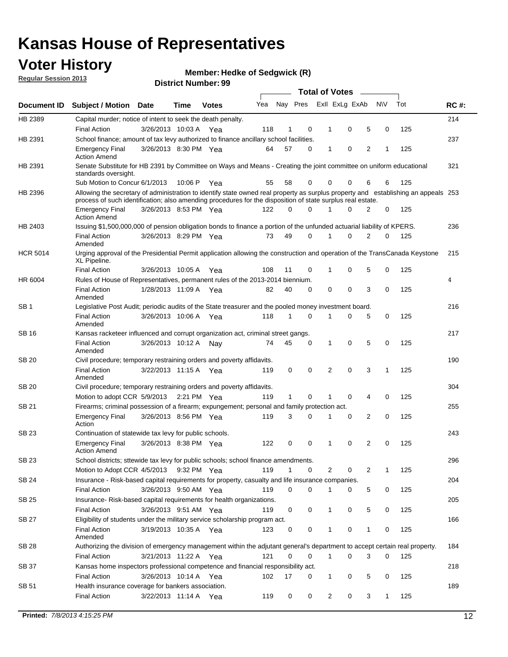## **Voter History**

**Member: Hedke of Sedgwick (R)** 

**Regular Session 2013**

|                 |                                                                                                                                                                                                                                                  |                       |         |              |     |              |   | <b>Total of Votes</b> |   |   |              |     |             |
|-----------------|--------------------------------------------------------------------------------------------------------------------------------------------------------------------------------------------------------------------------------------------------|-----------------------|---------|--------------|-----|--------------|---|-----------------------|---|---|--------------|-----|-------------|
| Document ID     | <b>Subject / Motion</b>                                                                                                                                                                                                                          | <b>Date</b>           | Time    | <b>Votes</b> | Yea | Nay Pres     |   | Exll ExLg ExAb        |   |   | <b>NV</b>    | Tot | <b>RC#:</b> |
| HB 2389         | Capital murder; notice of intent to seek the death penalty.                                                                                                                                                                                      |                       |         |              |     |              |   |                       |   |   |              |     | 214         |
|                 | <b>Final Action</b>                                                                                                                                                                                                                              | 3/26/2013 10:03 A     |         | Yea          | 118 | 1            | 0 | 1                     | 0 | 5 | 0            | 125 |             |
| HB 2391         | School finance; amount of tax levy authorized to finance ancillary school facilities.                                                                                                                                                            |                       |         |              |     |              |   |                       |   |   |              |     | 237         |
|                 | <b>Emergency Final</b><br><b>Action Amend</b>                                                                                                                                                                                                    | 3/26/2013 8:30 PM Yea |         |              | 64  | 57           | 0 | 1                     | 0 | 2 | 1            | 125 |             |
| HB 2391         | Senate Substitute for HB 2391 by Committee on Ways and Means - Creating the joint committee on uniform educational<br>standards oversight.                                                                                                       |                       |         |              |     |              |   |                       |   |   |              |     | 321         |
|                 | Sub Motion to Concur 6/1/2013                                                                                                                                                                                                                    |                       | 10:06 P | Yea          | 55  | 58           | 0 | 0                     | 0 | 6 | 6            | 125 |             |
| HB 2396         | Allowing the secretary of administration to identify state owned real property as surplus property and establishing an appeals 253<br>process of such identification; also amending procedures for the disposition of state surplus real estate. |                       |         |              |     |              |   |                       |   |   |              |     |             |
|                 | <b>Emergency Final</b><br><b>Action Amend</b>                                                                                                                                                                                                    | 3/26/2013 8:53 PM Yea |         |              | 122 | 0            | 0 | 1                     | 0 | 2 | 0            | 125 |             |
| HB 2403         | Issuing \$1,500,000,000 of pension obligation bonds to finance a portion of the unfunded actuarial liability of KPERS.                                                                                                                           |                       |         |              |     |              |   |                       |   |   |              |     | 236         |
|                 | <b>Final Action</b><br>Amended                                                                                                                                                                                                                   | 3/26/2013 8:29 PM Yea |         |              | 73  | 49           | 0 | 1                     | 0 | 2 | 0            | 125 |             |
| <b>HCR 5014</b> | Urging approval of the Presidential Permit application allowing the construction and operation of the TransCanada Keystone<br>XL Pipeline.                                                                                                       |                       |         |              |     |              |   |                       |   |   |              |     | 215         |
|                 | <b>Final Action</b>                                                                                                                                                                                                                              | 3/26/2013 10:05 A     |         | Yea          | 108 | 11           | 0 |                       | 0 | 5 | 0            | 125 |             |
| HR 6004         | Rules of House of Representatives, permanent rules of the 2013-2014 biennium.                                                                                                                                                                    |                       |         |              |     |              |   |                       |   |   |              |     | 4           |
|                 | <b>Final Action</b><br>Amended                                                                                                                                                                                                                   | 1/28/2013 11:09 A     |         | Yea          | 82  | 40           | 0 | 0                     | 0 | 3 | 0            | 125 |             |
| SB 1            | Legislative Post Audit; periodic audits of the State treasurer and the pooled money investment board.                                                                                                                                            |                       |         |              |     |              |   |                       |   |   |              |     | 216         |
|                 | <b>Final Action</b><br>Amended                                                                                                                                                                                                                   | 3/26/2013 10:06 A     |         | Yea          | 118 | $\mathbf{1}$ | 0 | 1                     | 0 | 5 | 0            | 125 |             |
| SB 16           | Kansas racketeer influenced and corrupt organization act, criminal street gangs.                                                                                                                                                                 |                       |         |              |     |              |   |                       |   |   |              |     | 217         |
|                 | <b>Final Action</b><br>Amended                                                                                                                                                                                                                   | 3/26/2013 10:12 A Nay |         |              | 74  | 45           | 0 | 1                     | 0 | 5 | 0            | 125 |             |
| SB 20           | Civil procedure; temporary restraining orders and poverty affidavits.                                                                                                                                                                            |                       |         |              |     |              |   |                       |   |   |              |     | 190         |
|                 | <b>Final Action</b><br>Amended                                                                                                                                                                                                                   | 3/22/2013 11:15 A     |         | Yea          | 119 | 0            | 0 | 2                     | 0 | 3 | $\mathbf{1}$ | 125 |             |
| <b>SB 20</b>    | Civil procedure; temporary restraining orders and poverty affidavits.                                                                                                                                                                            |                       |         |              |     |              |   |                       |   |   |              |     | 304         |
|                 | Motion to adopt CCR 5/9/2013 2:21 PM Yea                                                                                                                                                                                                         |                       |         |              | 119 | 1            | 0 | 1                     | 0 | 4 | 0            | 125 |             |
| SB 21           | Firearms; criminal possession of a firearm; expungement; personal and family protection act.                                                                                                                                                     |                       |         |              |     |              |   |                       |   |   |              |     | 255         |
|                 | <b>Emergency Final</b><br>Action                                                                                                                                                                                                                 | 3/26/2013 8:56 PM Yea |         |              | 119 | 3            | 0 | 1                     | 0 | 2 | 0            | 125 |             |
| SB 23           | Continuation of statewide tax levy for public schools.                                                                                                                                                                                           |                       |         |              |     |              |   |                       |   |   |              |     | 243         |
|                 | <b>Emergency Final</b><br><b>Action Amend</b>                                                                                                                                                                                                    | 3/26/2013 8:38 PM Yea |         |              | 122 | 0            | 0 | 1                     | 0 | 2 | 0            | 125 |             |
| SB 23           | School districts; sttewide tax levy for public schools; school finance amendments.                                                                                                                                                               |                       |         |              |     |              |   |                       |   |   |              |     | 296         |
|                 | Motion to Adopt CCR 4/5/2013 9:32 PM Yea                                                                                                                                                                                                         |                       |         |              | 119 | $\mathbf{1}$ | 0 | 2                     | 0 | 2 | 1            | 125 |             |
| <b>SB 24</b>    | Insurance - Risk-based capital requirements for property, casualty and life insurance companies.                                                                                                                                                 |                       |         |              |     |              |   |                       |   |   |              |     | 204         |
|                 | <b>Final Action</b>                                                                                                                                                                                                                              | 3/26/2013 9:50 AM Yea |         |              | 119 | 0            | 0 | 1                     | 0 | 5 | 0            | 125 |             |
| SB 25           | Insurance-Risk-based capital requirements for health organizations.                                                                                                                                                                              |                       |         |              |     |              |   |                       |   |   |              |     | 205         |
|                 | <b>Final Action</b>                                                                                                                                                                                                                              | 3/26/2013 9:51 AM Yea |         |              | 119 | 0            | 0 | 1                     | 0 | 5 | 0            | 125 |             |
| SB 27           | Eligibility of students under the military service scholarship program act.                                                                                                                                                                      |                       |         |              |     |              |   |                       |   |   |              |     | 166         |
|                 | <b>Final Action</b><br>Amended                                                                                                                                                                                                                   | 3/19/2013 10:35 A Yea |         |              | 123 | 0            | 0 |                       | 0 | 1 | 0            | 125 |             |
| SB 28           | Authorizing the division of emergency management within the adjutant general's department to accept certain real property.                                                                                                                       |                       |         |              |     |              |   |                       |   |   |              |     | 184         |
|                 | <b>Final Action</b>                                                                                                                                                                                                                              | 3/21/2013 11:22 A Yea |         |              | 121 | $\Omega$     | 0 | 1                     | 0 | 3 | $\Omega$     | 125 |             |
| SB 37           | Kansas home inspectors professional competence and financial responsibility act.                                                                                                                                                                 |                       |         |              |     |              |   |                       |   |   |              |     | 218         |
|                 | <b>Final Action</b>                                                                                                                                                                                                                              | 3/26/2013 10:14 A Yea |         |              | 102 | 17           | 0 | 1                     | 0 | 5 | 0            | 125 |             |
| SB 51           | Health insurance coverage for bankers association.                                                                                                                                                                                               |                       |         |              |     |              |   |                       |   |   |              |     | 189         |
|                 | <b>Final Action</b>                                                                                                                                                                                                                              | 3/22/2013 11:14 A Yea |         |              | 119 | 0            | 0 | $\overline{c}$        | 0 | 3 | $\mathbf{1}$ | 125 |             |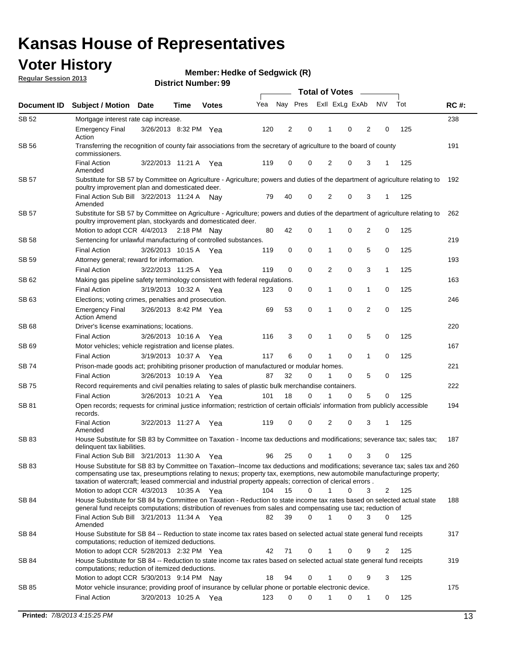## **Voter History**

**Member: Hedke of Sedgwick (R)** 

**Regular Session 2013**

|              |                                                                                                                                                                                                                                                                                                                                                                                                         |                       |             |              |     | <b>Total of Votes</b> |             |                |   |                |             |     |             |  |
|--------------|---------------------------------------------------------------------------------------------------------------------------------------------------------------------------------------------------------------------------------------------------------------------------------------------------------------------------------------------------------------------------------------------------------|-----------------------|-------------|--------------|-----|-----------------------|-------------|----------------|---|----------------|-------------|-----|-------------|--|
| Document ID  | <b>Subject / Motion Date</b>                                                                                                                                                                                                                                                                                                                                                                            |                       | Time        | <b>Votes</b> | Yea | Nay Pres              |             | Exll ExLg ExAb |   |                | <b>NV</b>   | Tot | <b>RC#:</b> |  |
| SB 52        | Mortgage interest rate cap increase.                                                                                                                                                                                                                                                                                                                                                                    |                       |             |              |     |                       |             |                |   |                |             |     | 238         |  |
|              | <b>Emergency Final</b><br>Action                                                                                                                                                                                                                                                                                                                                                                        | 3/26/2013 8:32 PM Yea |             |              | 120 | 2                     | 0           |                | 0 | 2              | 0           | 125 |             |  |
| SB 56        | Transferring the recognition of county fair associations from the secretary of agriculture to the board of county<br>commissioners.                                                                                                                                                                                                                                                                     |                       |             |              |     |                       |             |                |   |                |             |     | 191         |  |
|              | <b>Final Action</b><br>Amended                                                                                                                                                                                                                                                                                                                                                                          | 3/22/2013 11:21 A     |             | Yea          | 119 | 0                     | 0           | 2              | 0 | 3              | 1           | 125 |             |  |
| SB 57        | Substitute for SB 57 by Committee on Agriculture - Agriculture; powers and duties of the department of agriculture relating to<br>poultry improvement plan and domesticated deer.                                                                                                                                                                                                                       |                       |             |              |     |                       |             |                |   |                |             |     | 192         |  |
|              | Final Action Sub Bill 3/22/2013 11:24 A<br>Amended                                                                                                                                                                                                                                                                                                                                                      |                       |             | Nav          | 79  | 40                    | 0           | 2              | 0 | 3              | 1           | 125 |             |  |
| SB 57        | Substitute for SB 57 by Committee on Agriculture - Agriculture; powers and duties of the department of agriculture relating to<br>poultry improvement plan, stockyards and domesticated deer.<br>Motion to adopt CCR 4/4/2013 2:18 PM Nay                                                                                                                                                               |                       |             |              | 80  | 42                    | 0           | 1              | 0 | 2              | 0           | 125 | 262         |  |
| SB 58        | Sentencing for unlawful manufacturing of controlled substances.                                                                                                                                                                                                                                                                                                                                         |                       |             |              |     |                       |             |                |   |                |             |     | 219         |  |
|              | <b>Final Action</b>                                                                                                                                                                                                                                                                                                                                                                                     | 3/26/2013 10:15 A     |             |              | 119 | 0                     | 0           | 1              | 0 | 5              | 0           | 125 |             |  |
| <b>SB 59</b> | Attorney general; reward for information.                                                                                                                                                                                                                                                                                                                                                               |                       |             | Yea          |     |                       |             |                |   |                |             |     | 193         |  |
|              | <b>Final Action</b>                                                                                                                                                                                                                                                                                                                                                                                     | 3/22/2013 11:25 A     |             |              | 119 | 0                     | 0           | 2              | 0 | 3              | 1           | 125 |             |  |
| SB 62        | Making gas pipeline safety terminology consistent with federal regulations.                                                                                                                                                                                                                                                                                                                             |                       |             | Yea          |     |                       |             |                |   |                |             |     | 163         |  |
|              | <b>Final Action</b>                                                                                                                                                                                                                                                                                                                                                                                     | 3/19/2013 10:32 A     |             |              | 123 | 0                     | 0           | 1              | 0 | 1              | 0           | 125 |             |  |
| SB 63        |                                                                                                                                                                                                                                                                                                                                                                                                         |                       |             | Yea          |     |                       |             |                |   |                |             |     | 246         |  |
|              | Elections; voting crimes, penalties and prosecution.<br><b>Emergency Final</b><br><b>Action Amend</b>                                                                                                                                                                                                                                                                                                   | 3/26/2013 8:42 PM Yea |             |              | 69  | 53                    | $\mathbf 0$ | 1              | 0 | $\overline{2}$ | $\mathbf 0$ | 125 |             |  |
| SB 68        | Driver's license examinations; locations.                                                                                                                                                                                                                                                                                                                                                               |                       |             |              |     |                       |             |                |   |                |             |     | 220         |  |
|              | <b>Final Action</b>                                                                                                                                                                                                                                                                                                                                                                                     | 3/26/2013 10:16 A     |             | Yea          | 116 | 3                     | 0           | 1              | 0 | 5              | 0           | 125 |             |  |
| SB 69        | Motor vehicles; vehicle registration and license plates.                                                                                                                                                                                                                                                                                                                                                |                       |             |              |     |                       |             |                |   |                |             |     | 167         |  |
|              | <b>Final Action</b>                                                                                                                                                                                                                                                                                                                                                                                     | 3/19/2013 10:37 A     |             | Yea          | 117 | 6                     | 0           | 1              | 0 | $\mathbf{1}$   | 0           | 125 |             |  |
| SB 74        | Prison-made goods act; prohibiting prisoner production of manufactured or modular homes.                                                                                                                                                                                                                                                                                                                |                       |             |              |     |                       |             |                |   |                |             |     | 221         |  |
|              | <b>Final Action</b>                                                                                                                                                                                                                                                                                                                                                                                     | 3/26/2013 10:19 A     |             | Yea          | 87  | 32                    | 0           | 1              | 0 | 5              | 0           | 125 |             |  |
| SB 75        | Record requirements and civil penalties relating to sales of plastic bulk merchandise containers.                                                                                                                                                                                                                                                                                                       |                       |             |              |     |                       |             |                |   |                |             |     | 222         |  |
|              | <b>Final Action</b>                                                                                                                                                                                                                                                                                                                                                                                     | 3/26/2013 10:21 A     |             | Yea          | 101 | 18                    | 0           | 1              | 0 | 5              | 0           | 125 |             |  |
| SB 81        | Open records; requests for criminal justice information; restriction of certain officials' information from publicly accessible<br>records.                                                                                                                                                                                                                                                             |                       |             |              |     |                       |             |                |   |                |             |     | 194         |  |
|              | <b>Final Action</b><br>Amended                                                                                                                                                                                                                                                                                                                                                                          | 3/22/2013 11:27 A     |             | Yea          | 119 | 0                     | 0           | 2              | 0 | 3              | 1           | 125 |             |  |
| <b>SB83</b>  | House Substitute for SB 83 by Committee on Taxation - Income tax deductions and modifications; severance tax; sales tax;<br>delinquent tax liabilities.                                                                                                                                                                                                                                                 |                       |             |              |     |                       |             |                |   |                |             |     | 187         |  |
|              | Final Action Sub Bill 3/21/2013 11:30 A Yea                                                                                                                                                                                                                                                                                                                                                             |                       |             |              | 96  | 25                    | 0           | 1              | 0 | 3              | 0           | 125 |             |  |
| SB 83        | House Substitute for SB 83 by Committee on Taxation--Income tax deductions and modifications; severance tax; sales tax and 260<br>compensating use tax, preseumptions relating to nexus; property tax, exemptions, new automobile manufacturinge property;<br>taxation of watercraft; leased commercial and industrial property appeals; correction of clerical errors.<br>Motion to adopt CCR 4/3/2013 |                       | 10:35 A Yea |              | 104 | 15                    | 0           | $\mathbf{1}$   | 0 | 3              | 2           | 125 |             |  |
|              | House Substitute for SB 84 by Committee on Taxation - Reduction to state income tax rates based on selected actual state                                                                                                                                                                                                                                                                                |                       |             |              |     |                       |             |                |   |                |             |     | 188         |  |
| SB 84        | general fund receipts computations; distribution of revenues from sales and compensating use tax; reduction of<br>Final Action Sub Bill 3/21/2013 11:34 A Yea                                                                                                                                                                                                                                           |                       |             |              | 82  | 39                    | $\Omega$    |                | 0 | 3              | $\Omega$    | 125 |             |  |
| SB 84        | Amended<br>House Substitute for SB 84 -- Reduction to state income tax rates based on selected actual state general fund receipts                                                                                                                                                                                                                                                                       |                       |             |              |     |                       |             |                |   |                |             |     | 317         |  |
|              | computations; reduction of itemized deductions.<br>Motion to adopt CCR 5/28/2013 2:32 PM Yea                                                                                                                                                                                                                                                                                                            |                       |             |              | 42  | 71                    | 0           |                | 0 | 9              | 2           | 125 |             |  |
| SB 84        | House Substitute for SB 84 -- Reduction to state income tax rates based on selected actual state general fund receipts                                                                                                                                                                                                                                                                                  |                       |             |              |     |                       |             |                |   |                |             |     | 319         |  |
|              | computations; reduction of itemized deductions.<br>Motion to adopt CCR 5/30/2013 9:14 PM Nay                                                                                                                                                                                                                                                                                                            |                       |             |              | 18  | 94                    | 0           |                | 0 | 9              | 3           | 125 |             |  |
| SB 85        | Motor vehicle insurance; providing proof of insurance by cellular phone or portable electronic device.                                                                                                                                                                                                                                                                                                  |                       |             |              |     |                       |             |                |   |                |             |     | 175         |  |
|              | <b>Final Action</b>                                                                                                                                                                                                                                                                                                                                                                                     | 3/20/2013 10:25 A Yea |             |              | 123 | 0                     | $\Omega$    |                | 0 | 1              | 0           | 125 |             |  |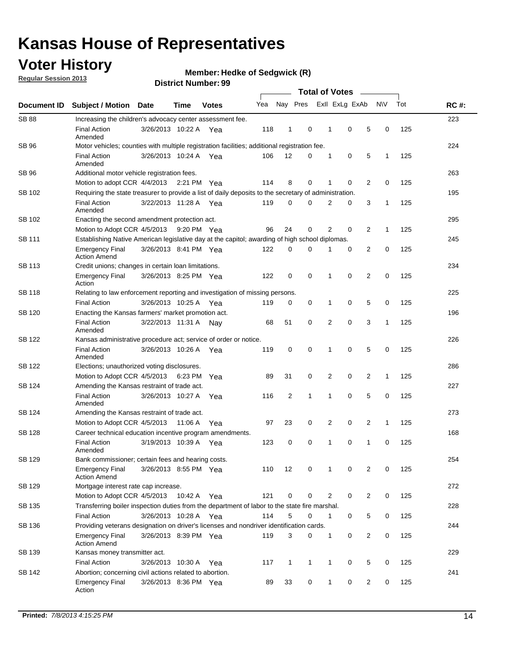## **Voter History**

**Member: Hedke of Sedgwick (R)** 

**Regular Session 2013**

|                    |                                                                                                       |                       | มาจแทน เพนเแม <del>น</del> . <i>งง</i> | <b>Total of Votes</b> |                             |              |              |  |                |                |                |              |     |             |
|--------------------|-------------------------------------------------------------------------------------------------------|-----------------------|----------------------------------------|-----------------------|-----------------------------|--------------|--------------|--|----------------|----------------|----------------|--------------|-----|-------------|
| <b>Document ID</b> | <b>Subject / Motion</b>                                                                               | <b>Date</b>           | Time                                   | <b>Votes</b>          | Yea                         |              | Nay Pres     |  |                | Exll ExLg ExAb |                | <b>NV</b>    | Tot | <b>RC#:</b> |
| <b>SB 88</b>       | Increasing the children's advocacy center assessment fee.                                             |                       |                                        |                       |                             |              |              |  |                |                |                |              |     | 223         |
|                    | <b>Final Action</b><br>Amended                                                                        | 3/26/2013 10:22 A Yea |                                        |                       | 118                         | 1            | 0            |  | 1              | $\mathbf 0$    | 5              | 0            | 125 |             |
| SB 96              | Motor vehicles; counties with multiple registration facilities; additional registration fee.          |                       |                                        |                       |                             |              |              |  |                |                |                |              |     | 224         |
|                    | <b>Final Action</b><br>Amended                                                                        | 3/26/2013 10:24 A     |                                        | Yea                   | 106                         | 12           | 0            |  | 1              | 0              | 5              | $\mathbf{1}$ | 125 |             |
| SB 96              | Additional motor vehicle registration fees.                                                           |                       |                                        |                       |                             |              |              |  |                |                |                |              |     | 263         |
|                    | Motion to adopt CCR 4/4/2013 2:21 PM Yea                                                              |                       |                                        |                       | 114                         | 8            | 0            |  | 1              | 0              | 2              | 0            | 125 |             |
| SB 102             | Requiring the state treasurer to provide a list of daily deposits to the secretary of administration. |                       |                                        |                       |                             |              |              |  |                |                |                |              |     | 195         |
|                    | <b>Final Action</b><br>Amended                                                                        | 3/22/2013 11:28 A Yea |                                        |                       | 119                         | 0            | 0            |  | 2              | 0              | 3              | 1            | 125 |             |
| SB 102             | Enacting the second amendment protection act.                                                         |                       |                                        |                       |                             |              |              |  |                |                |                |              |     | 295         |
|                    | Motion to Adopt CCR 4/5/2013 9:20 PM Yea                                                              |                       |                                        |                       | 96                          | 24           | 0            |  | $\overline{2}$ | 0              | 2              | $\mathbf{1}$ | 125 |             |
| <b>SB 111</b>      | Establishing Native American legislative day at the capitol; awarding of high school diplomas.        |                       |                                        |                       |                             |              |              |  |                |                |                |              |     | 245         |
|                    | <b>Emergency Final</b><br><b>Action Amend</b>                                                         | 3/26/2013 8:41 PM Yea |                                        |                       | 122                         | 0            | 0            |  | 1              | 0              | 2              | 0            | 125 |             |
| SB 113             | Credit unions; changes in certain loan limitations.                                                   |                       |                                        |                       |                             |              |              |  |                |                |                |              |     | 234         |
|                    | <b>Emergency Final</b><br>Action                                                                      | 3/26/2013 8:25 PM Yea |                                        |                       | 122                         | 0            | 0            |  | 1              | $\mathbf 0$    | $\overline{2}$ | 0            | 125 |             |
| SB 118             | Relating to law enforcement reporting and investigation of missing persons.                           |                       |                                        |                       |                             |              |              |  |                |                |                |              |     | 225         |
|                    | <b>Final Action</b>                                                                                   | 3/26/2013 10:25 A     |                                        | Yea                   | 119                         | 0            | 0            |  | 1              | 0              | 5              | 0            | 125 |             |
| SB 120             | Enacting the Kansas farmers' market promotion act.                                                    |                       |                                        |                       |                             |              |              |  |                |                |                |              |     | 196         |
|                    | <b>Final Action</b><br>Amended                                                                        | 3/22/2013 11:31 A     |                                        | Nav                   |                             | 51           |              |  | $\overline{2}$ | 0              | 3              | 1            | 125 |             |
| SB 122             | Kansas administrative procedure act; service of order or notice.                                      |                       |                                        |                       | 68<br>0<br>$\mathbf 0$<br>0 |              |              |  | 226            |                |                |              |     |             |
|                    | <b>Final Action</b><br>Amended                                                                        | 3/26/2013 10:26 A Yea |                                        |                       | 119                         |              |              |  | 1              | 0              | 5              | 0            | 125 |             |
| <b>SB 122</b>      | Elections; unauthorized voting disclosures.                                                           |                       |                                        |                       |                             |              |              |  |                |                |                |              |     | 286         |
|                    | Motion to Adopt CCR 4/5/2013                                                                          |                       | 6:23 PM                                | Yea                   | 89                          | 31           | 0            |  | 2              | 0              | $\overline{2}$ | 1            | 125 |             |
| SB 124             | Amending the Kansas restraint of trade act.                                                           |                       |                                        |                       |                             |              |              |  |                |                |                |              |     | 227         |
|                    | <b>Final Action</b><br>Amended                                                                        | 3/26/2013 10:27 A     |                                        | Yea                   | 116                         | 2            | 1            |  | 1              | $\mathbf 0$    | 5              | $\mathbf 0$  | 125 |             |
| SB 124             | Amending the Kansas restraint of trade act.                                                           |                       |                                        |                       |                             |              |              |  |                |                |                |              |     | 273         |
|                    | Motion to Adopt CCR 4/5/2013                                                                          |                       | 11:06 A                                | Yea                   | 97                          | 23           | 0            |  | 2              | 0              | 2              | $\mathbf{1}$ | 125 |             |
| SB 128             | Career technical education incentive program amendments.                                              |                       |                                        |                       |                             |              |              |  |                |                |                |              |     | 168         |
|                    | <b>Final Action</b><br>Amended                                                                        | 3/19/2013 10:39 A     |                                        | Yea                   | 123                         | 0            | 0            |  | 1              | 0              | 1              | 0            | 125 |             |
| SB 129             | Bank commissioner; certain fees and hearing costs.                                                    |                       |                                        |                       |                             |              |              |  |                |                |                |              |     | 254         |
|                    | <b>Emergency Final</b><br><b>Action Amend</b>                                                         | 3/26/2013 8:55 PM Yea |                                        |                       | 110                         | 12           | 0            |  | 1              | 0              | 2              | 0            | 125 |             |
| <b>SB 129</b>      | Mortgage interest rate cap increase.                                                                  |                       |                                        |                       |                             |              |              |  |                |                |                |              |     | 272         |
|                    | Motion to Adopt CCR 4/5/2013                                                                          |                       | 10:42 A Yea                            |                       | 121                         | 0            | 0            |  | $\overline{2}$ | 0              | 2              | 0            | 125 |             |
| SB 135             | Transferring boiler inspection duties from the department of labor to the state fire marshal.         |                       |                                        |                       |                             |              |              |  |                |                |                |              |     | 228         |
|                    | <b>Final Action</b>                                                                                   | 3/26/2013 10:28 A Yea |                                        |                       | 114                         | 5            | 0            |  | $\mathbf{1}$   | 0              | 5              | 0            | 125 |             |
| SB 136             | Providing veterans designation on driver's licenses and nondriver identification cards.               |                       |                                        |                       |                             |              |              |  |                |                |                |              |     | 244         |
|                    | <b>Emergency Final</b><br><b>Action Amend</b>                                                         | 3/26/2013 8:39 PM Yea |                                        |                       | 119                         | 3            | 0            |  | $\mathbf{1}$   | 0              | 2              | 0            | 125 |             |
| SB 139             | Kansas money transmitter act.                                                                         |                       |                                        |                       |                             |              |              |  |                |                |                |              |     | 229         |
|                    | <b>Final Action</b>                                                                                   | 3/26/2013 10:30 A Yea |                                        |                       | 117                         | $\mathbf{1}$ | $\mathbf{1}$ |  | $\mathbf{1}$   | $\mathbf 0$    | 5              | 0            | 125 |             |
| SB 142             | Abortion; concerning civil actions related to abortion.                                               |                       |                                        |                       |                             |              |              |  |                |                |                |              |     | 241         |
|                    | <b>Emergency Final</b><br>Action                                                                      | 3/26/2013 8:36 PM Yea |                                        |                       | 89                          | 33           | 0            |  | $\mathbf{1}$   | 0              | 2              | 0            | 125 |             |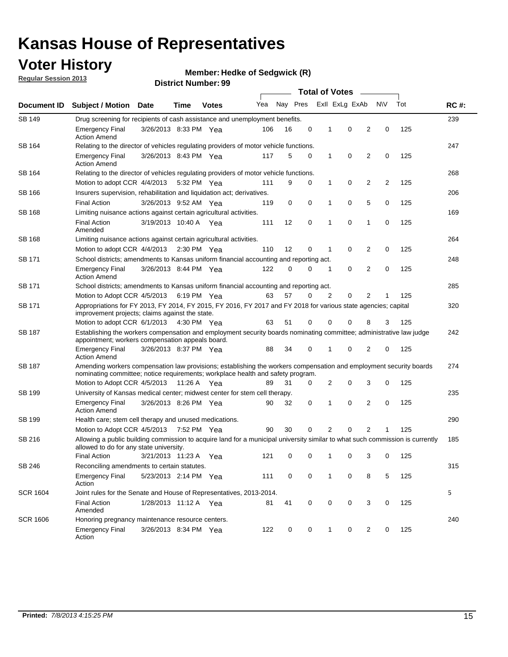## **Voter History**

**Member: Hedke of Sedgwick (R)** 

**Regular Session 2013**

| Document ID     |                                                                                                                                                                                                       |                                                                                    |             |              | <b>Total of Votes</b><br>$\sim$ |          |   |   |                |                |           |     |             |  |
|-----------------|-------------------------------------------------------------------------------------------------------------------------------------------------------------------------------------------------------|------------------------------------------------------------------------------------|-------------|--------------|---------------------------------|----------|---|---|----------------|----------------|-----------|-----|-------------|--|
|                 | <b>Subject / Motion Date</b>                                                                                                                                                                          |                                                                                    | Time        | <b>Votes</b> | Yea                             | Nay Pres |   |   | Exll ExLg ExAb |                | <b>NV</b> | Tot | <b>RC#:</b> |  |
| <b>SB 149</b>   |                                                                                                                                                                                                       | Drug screening for recipients of cash assistance and unemployment benefits.        |             |              |                                 |          |   |   |                |                |           |     |             |  |
|                 | <b>Emergency Final</b><br><b>Action Amend</b>                                                                                                                                                         | 3/26/2013 8:33 PM Yea                                                              |             |              | 106                             | 16       | 0 | 1 | 0              | 2              | 0         | 125 |             |  |
| SB 164          | Relating to the director of vehicles regulating providers of motor vehicle functions.                                                                                                                 |                                                                                    |             |              |                                 |          |   |   |                |                |           |     | 247         |  |
|                 | <b>Emergency Final</b><br><b>Action Amend</b>                                                                                                                                                         | 3/26/2013 8:43 PM Yea                                                              |             |              | 117                             | 5        | 0 | 1 | 0              | 2              | 0         | 125 |             |  |
| SB 164          | Relating to the director of vehicles regulating providers of motor vehicle functions.                                                                                                                 |                                                                                    |             |              |                                 |          |   |   |                |                |           |     | 268         |  |
|                 | Motion to adopt CCR 4/4/2013                                                                                                                                                                          |                                                                                    | 5:32 PM Yea |              | 111                             | 9        | 0 | 1 | 0              | 2              | 2         | 125 |             |  |
| SB 166          | Insurers supervision, rehabilitation and liquidation act; derivatives.                                                                                                                                |                                                                                    |             |              |                                 |          |   |   |                |                |           |     | 206         |  |
|                 | <b>Final Action</b>                                                                                                                                                                                   | 3/26/2013 9:52 AM Yea                                                              |             |              | 119                             | 0        | 0 | 1 | 0              | 5              | 0         | 125 |             |  |
| SB 168          | Limiting nuisance actions against certain agricultural activities.                                                                                                                                    |                                                                                    |             |              |                                 |          |   |   |                |                |           |     | 169         |  |
|                 | <b>Final Action</b><br>Amended                                                                                                                                                                        | 3/19/2013 10:40 A Yea                                                              |             |              | 111                             | 12       | 0 | 1 | 0              | 1              | 0         | 125 |             |  |
| SB 168          | Limiting nuisance actions against certain agricultural activities.                                                                                                                                    |                                                                                    |             |              |                                 |          |   |   |                |                |           |     | 264         |  |
|                 | Motion to adopt CCR 4/4/2013                                                                                                                                                                          |                                                                                    | 2:30 PM Yea |              | 110                             | 12       | 0 | 1 | 0              | 2              | 0         | 125 |             |  |
| <b>SB 171</b>   | School districts; amendments to Kansas uniform financial accounting and reporting act.                                                                                                                |                                                                                    |             |              |                                 |          |   |   |                |                |           |     | 248         |  |
|                 | <b>Emergency Final</b><br><b>Action Amend</b>                                                                                                                                                         | 3/26/2013 8:44 PM Yea                                                              |             |              | 122                             | 0        | 0 | 1 | 0              | 2              | 0         | 125 |             |  |
| SB 171          | School districts; amendments to Kansas uniform financial accounting and reporting act.                                                                                                                |                                                                                    |             |              |                                 |          |   |   |                |                |           |     | 285         |  |
|                 |                                                                                                                                                                                                       | Motion to Adopt CCR 4/5/2013<br>6:19 PM Yea<br>63<br>57<br>2<br>0<br>2<br>125<br>0 |             |              |                                 |          |   |   |                |                |           |     |             |  |
| SB 171          | Appropriations for FY 2013, FY 2014, FY 2015, FY 2016, FY 2017 and FY 2018 for various state agencies; capital<br>improvement projects; claims against the state.                                     |                                                                                    |             |              |                                 |          |   |   |                |                | 320       |     |             |  |
|                 | Motion to adopt CCR 6/1/2013 4:30 PM Yea                                                                                                                                                              |                                                                                    |             |              | 63                              | 51       | 0 | 0 | 0              | 8              | 3         | 125 |             |  |
| SB 187          | Establishing the workers compensation and employment security boards nominating committee; administrative law judge<br>appointment; workers compensation appeals board.                               |                                                                                    |             |              |                                 |          |   |   |                |                |           |     | 242         |  |
|                 | <b>Emergency Final</b><br><b>Action Amend</b>                                                                                                                                                         | 3/26/2013 8:37 PM Yea                                                              |             |              | 88                              | 34       | 0 | 1 | 0              | 2              | 0         | 125 |             |  |
| SB 187          | Amending workers compensation law provisions; establishing the workers compensation and employment security boards<br>nominating committee; notice requirements; workplace health and safety program. |                                                                                    |             |              |                                 |          |   |   |                |                |           |     | 274         |  |
|                 | Motion to Adopt CCR 4/5/2013 11:26 A Yea                                                                                                                                                              |                                                                                    |             |              | 89                              | 31       | 0 | 2 | 0              | 3              | 0         | 125 |             |  |
| SB 199          | University of Kansas medical center; midwest center for stem cell therapy.                                                                                                                            |                                                                                    |             |              |                                 |          |   |   |                |                |           |     | 235         |  |
|                 | <b>Emergency Final</b><br><b>Action Amend</b>                                                                                                                                                         | 3/26/2013 8:26 PM Yea                                                              |             |              | 90                              | 32       | 0 | 1 | 0              | 2              | 0         | 125 |             |  |
| SB 199          | Health care; stem cell therapy and unused medications.                                                                                                                                                |                                                                                    |             |              |                                 |          |   |   |                |                |           |     | 290         |  |
|                 | Motion to Adopt CCR 4/5/2013                                                                                                                                                                          |                                                                                    | 7:52 PM Yea |              | 90                              | 30       | 0 | 2 | 0              | $\overline{2}$ | 1         | 125 |             |  |
| SB 216          | Allowing a public building commission to acquire land for a municipal university similar to what such commission is currently<br>allowed to do for any state university.                              |                                                                                    |             |              |                                 |          |   |   |                |                |           |     | 185         |  |
|                 | <b>Final Action</b>                                                                                                                                                                                   | 3/21/2013 11:23 A Yea                                                              |             |              | 121                             | 0        | 0 | 1 | 0              | 3              | 0         | 125 |             |  |
| SB 246          | Reconciling amendments to certain statutes.                                                                                                                                                           |                                                                                    |             |              |                                 |          |   |   |                |                |           |     | 315         |  |
|                 | Emergency Final<br>Action                                                                                                                                                                             | 5/23/2013 2:14 PM Yea                                                              |             |              | 111                             | 0        | 0 | 1 | 0              | 8              | 5         | 125 |             |  |
| <b>SCR 1604</b> | Joint rules for the Senate and House of Representatives, 2013-2014.                                                                                                                                   |                                                                                    |             |              |                                 |          |   |   |                |                |           |     | 5           |  |
|                 | <b>Final Action</b><br>Amended                                                                                                                                                                        | 1/28/2013 11:12 A Yea                                                              |             |              | 81                              | 41       | 0 | 0 | 0              | 3              | 0         | 125 |             |  |
| <b>SCR 1606</b> | Honoring pregnancy maintenance resource centers.                                                                                                                                                      |                                                                                    |             |              |                                 |          |   |   |                |                |           |     | 240         |  |
|                 | <b>Emergency Final</b><br>Action                                                                                                                                                                      | 3/26/2013 8:34 PM Yea                                                              |             |              | 122                             | 0        | 0 | 1 | 0              | 2              | 0         | 125 |             |  |